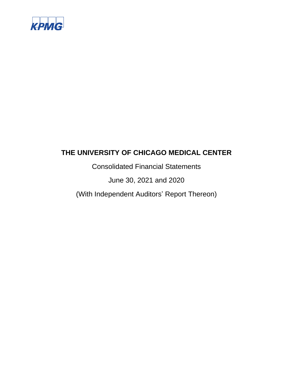

Consolidated Financial Statements

June 30, 2021 and 2020

(With Independent Auditors' Report Thereon)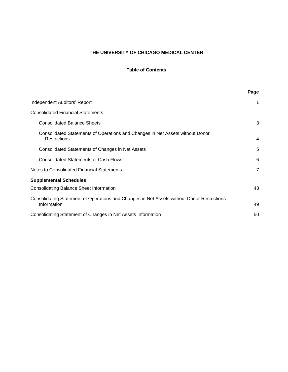# **Table of Contents**

|                                                                                                           | Page           |
|-----------------------------------------------------------------------------------------------------------|----------------|
| Independent Auditors' Report                                                                              | 1              |
| <b>Consolidated Financial Statements:</b>                                                                 |                |
| <b>Consolidated Balance Sheets</b>                                                                        | 3              |
| Consolidated Statements of Operations and Changes in Net Assets without Donor<br><b>Restrictions</b>      | 4              |
| Consolidated Statements of Changes in Net Assets                                                          | 5              |
| <b>Consolidated Statements of Cash Flows</b>                                                              | 6              |
| Notes to Consolidated Financial Statements                                                                | $\overline{7}$ |
| <b>Supplemental Schedules</b>                                                                             |                |
| <b>Consolidating Balance Sheet Information</b>                                                            | 48             |
| Consolidating Statement of Operations and Changes in Net Assets without Donor Restrictions<br>Information | 49             |
| Consolidating Statement of Changes in Net Assets Information                                              | 50             |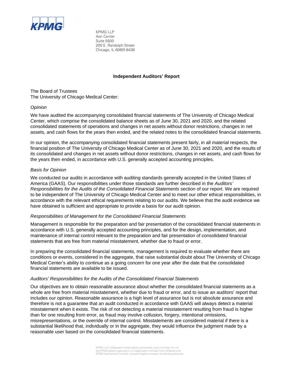

KPMG LLP Aon Center Suite 5500 200 E. Randolph Street Chicago, IL 60601-6436

#### **Independent Auditors' Report**

The Board of Trustees The University of Chicago Medical Center:

#### *Opinion*

We have audited the accompanying consolidated financial statements of The University of Chicago Medical Center, which comprise the consolidated balance sheets as of June 30, 2021 and 2020, and the related consolidated statements of operations and changes in net assets without donor restrictions, changes in net assets, and cash flows for the years then ended, and the related notes to the consolidated financial statements.

In our opinion, the accompanying consolidated financial statements present fairly, in all material respects, the financial position of The University of Chicago Medical Center as of June 30, 2021 and 2020, and the results of its consolidated and changes in net assets without donor restrictions, changes in net assets, and cash flows for the years then ended, in accordance with U.S. generally accepted accounting principles.

# *Basis for Opinion*

We conducted our audits in accordance with auditing standards generally accepted in the United States of America (GAAS). Our responsibilities under those standards are further described in the *Auditors' Responsibilities for the Audits of the Consolidated Financial Statements* section of our report. We are required to be independent of The University of Chicago Medical Center and to meet our other ethical responsibilities, in accordance with the relevant ethical requirements relating to our audits. We believe that the audit evidence we have obtained is sufficient and appropriate to provide a basis for our audit opinion.

#### *Responsibilities of Management for the Consolidated Financial Statements*

Management is responsible for the preparation and fair presentation of the consolidated financial statements in accordance with U.S. generally accepted accounting principles, and for the design, implementation, and maintenance of internal control relevant to the preparation and fair presentation of consolidated financial statements that are free from material misstatement, whether due to fraud or error.

In preparing the consolidated financial statements, management is required to evaluate whether there are conditions or events, considered in the aggregate, that raise substantial doubt about The University of Chicago Medical Center's ability to continue as a going concern for one year after the date that the consolidated financial statements are available to be issued.

#### *Auditors' Responsibilities for the Audits of the Consolidated Financial Statements*

Our objectives are to obtain reasonable assurance about whether the consolidated financial statements as a whole are free from material misstatement, whether due to fraud or error, and to issue an auditors' report that includes our opinion. Reasonable assurance is a high level of assurance but is not absolute assurance and therefore is not a guarantee that an audit conducted in accordance with GAAS will always detect a material misstatement when it exists. The risk of not detecting a material misstatement resulting from fraud is higher than for one resulting from error, as fraud may involve collusion, forgery, intentional omissions, misrepresentations, or the override of internal control. Misstatements are considered material if there is a substantial likelihood that, individually or in the aggregate, they would influence the judgment made by a reasonable user based on the consolidated financial statements.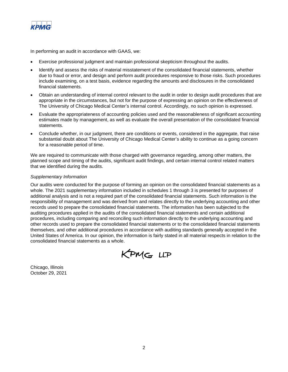

In performing an audit in accordance with GAAS, we:

- Exercise professional judgment and maintain professional skepticism throughout the audits.
- Identify and assess the risks of material misstatement of the consolidated financial statements, whether due to fraud or error, and design and perform audit procedures responsive to those risks. Such procedures include examining, on a test basis, evidence regarding the amounts and disclosures in the consolidated financial statements.
- Obtain an understanding of internal control relevant to the audit in order to design audit procedures that are appropriate in the circumstances, but not for the purpose of expressing an opinion on the effectiveness of The University of Chicago Medical Center's internal control. Accordingly, no such opinion is expressed.
- Evaluate the appropriateness of accounting policies used and the reasonableness of significant accounting estimates made by management, as well as evaluate the overall presentation of the consolidated financial statements.
- Conclude whether, in our judgment, there are conditions or events, considered in the aggregate, that raise substantial doubt about The University of Chicago Medical Center's ability to continue as a going concern for a reasonable period of time.

We are required to communicate with those charged with governance regarding, among other matters, the planned scope and timing of the audits, significant audit findings, and certain internal control related matters that we identified during the audits.

#### *Supplementary Information*

Our audits were conducted for the purpose of forming an opinion on the consolidated financial statements as a whole. The 2021 supplementary information included in schedules 1 through 3 is presented for purposes of additional analysis and is not a required part of the consolidated financial statements. Such information is the responsibility of management and was derived from and relates directly to the underlying accounting and other records used to prepare the consolidated financial statements. The information has been subjected to the auditing procedures applied in the audits of the consolidated financial statements and certain additional procedures, including comparing and reconciling such information directly to the underlying accounting and other records used to prepare the consolidated financial statements or to the consolidated financial statements themselves, and other additional procedures in accordance with auditing standards generally accepted in the United States of America. In our opinion, the information is fairly stated in all material respects in relation to the consolidated financial statements as a whole.

KPMG LLP

Chicago, Illinois October 29, 2021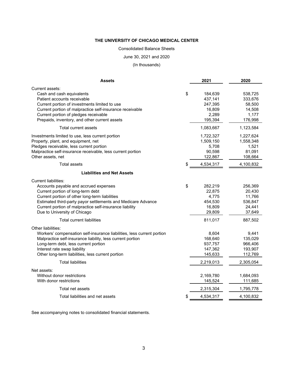# Consolidated Balance Sheets

#### June 30, 2021 and 2020

(In thousands)

| <b>Assets</b>                                                                                                                                                                                                                                                                                                       | 2021                                                            | 2020                                                           |
|---------------------------------------------------------------------------------------------------------------------------------------------------------------------------------------------------------------------------------------------------------------------------------------------------------------------|-----------------------------------------------------------------|----------------------------------------------------------------|
| Current assets:<br>Cash and cash equivalents<br>Patient accounts receivable<br>Current portion of investments limited to use<br>Current portion of malpractice self-insurance receivable<br>Current portion of pledges receivable                                                                                   | \$<br>184,639<br>437,141<br>247,395<br>16,809<br>2,289          | 538,725<br>333,676<br>58,500<br>14,508<br>1,177                |
| Prepaids, inventory, and other current assets                                                                                                                                                                                                                                                                       | 195,394                                                         | 176,998                                                        |
| Total current assets                                                                                                                                                                                                                                                                                                | 1,083,667                                                       | 1,123,584                                                      |
| Investments limited to use, less current portion<br>Property, plant, and equipment, net<br>Pledges receivable, less current portion<br>Malpractice self-insurance receivable, less current portion<br>Other assets, net                                                                                             | 1,722,327<br>1,509,150<br>5,708<br>90,598<br>122,867            | 1,227,624<br>1,558,348<br>1,521<br>81,091<br>108,664           |
| <b>Total assets</b>                                                                                                                                                                                                                                                                                                 | \$<br>4,534,317                                                 | 4,100,832                                                      |
| <b>Liabilities and Net Assets</b>                                                                                                                                                                                                                                                                                   |                                                                 |                                                                |
| Current liabilities:<br>Accounts payable and accrued expenses<br>Current portion of long-term debt<br>Current portion of other long-term liabilities<br>Estimated third-party payor settlements and Medicare Advance<br>Current portion of malpractice self-insurance liability<br>Due to University of Chicago     | \$<br>282,219<br>22,875<br>4,775<br>454,530<br>16,809<br>29,809 | 256,369<br>20,430<br>11,766<br>536,847<br>24,441<br>37,649     |
| Total current liabilities                                                                                                                                                                                                                                                                                           | 811,017                                                         | 887,502                                                        |
| Other liabilities:<br>Workers' compensation self-insurance liabilities, less current portion<br>Malpractice self-insurance liability, less current portion<br>Long-term debt, less current portion<br>Interest rate swap liability<br>Other long-term liabilities, less current portion<br><b>Total liabilities</b> | 8,604<br>168,640<br>937,757<br>147,362<br>145,633<br>2,219,013  | 9,441<br>135,029<br>966,406<br>193,907<br>112,769<br>2,305,054 |
|                                                                                                                                                                                                                                                                                                                     |                                                                 |                                                                |
| Net assets:<br>Without donor restrictions<br>With donor restrictions                                                                                                                                                                                                                                                | 2,169,780<br>145,524                                            | 1,684,093<br>111,685                                           |
| Total net assets                                                                                                                                                                                                                                                                                                    | 2,315,304                                                       | 1,795,778                                                      |
| Total liabilities and net assets                                                                                                                                                                                                                                                                                    | \$<br>4,534,317                                                 | 4,100,832                                                      |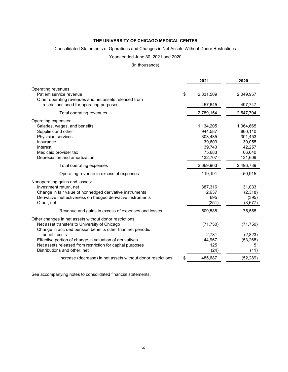# Consolidated Statements of Operations and Changes in Net Assets Without Donor Restrictions

# Years ended June 30, 2021 and 2020

# (In thousands)

|                                                                    | 2021      | 2020      |
|--------------------------------------------------------------------|-----------|-----------|
| Operating revenues:                                                |           |           |
| \$<br>Patient service revenue                                      | 2,331,509 | 2,049,957 |
| Other operating revenues and net assets released from              |           |           |
| restrictions used for operating purposes                           | 457,645   | 497,747   |
| Total operating revenues                                           | 2,789,154 | 2,547,704 |
| Operating expenses:                                                |           |           |
| Salaries, wages, and benefits                                      | 1,134,205 | 1,064,665 |
| Supplies and other                                                 | 944,587   | 860,110   |
| Physician services                                                 | 303,435   | 301,453   |
| Insurance                                                          | 39,603    | 30,055    |
| Interest                                                           | 39,743    | 42,257    |
| Medicaid provider tax                                              | 75,683    | 66,640    |
| Depreciation and amortization                                      | 132,707   | 131,609   |
| Total operating expenses                                           | 2,669,963 | 2,496,789 |
| Operating revenue in excess of expenses                            | 119,191   | 50,915    |
| Nonoperating gains and losses:                                     |           |           |
| Investment return, net                                             | 387,316   | 31,033    |
| Change in fair value of nonhedged derivative instruments           | 2,637     | (2,318)   |
| Derivative ineffectiveness on hedged derivative instruments        | 695       | (395)     |
| Other, net                                                         | (251)     | (3,677)   |
| Revenue and gains in excess of expenses and losses                 | 509,588   | 75,558    |
| Other changes in net assets without donor restrictions:            |           |           |
| Net asset transfers to University of Chicago                       | (71, 750) | (71, 750) |
| Change in accrued pension benefits other than net periodic         |           |           |
| benefit costs                                                      | 2,781     | (2,823)   |
| Effective portion of change in valuation of derivatives            | 44,967    | (53, 268) |
| Net assets released from restriction for capital purposes          | 125       | 5         |
| Distributions and other, net                                       | (24)      | (11)      |
| \$<br>Increase (decrease) in net assets without donor restrictions | 485,687   | (52, 289) |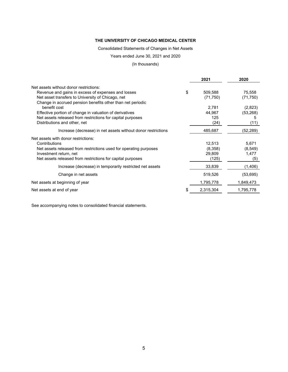Consolidated Statements of Changes in Net Assets

Years ended June 30, 2021 and 2020

(In thousands)

|                                                                   | 2021          | 2020      |
|-------------------------------------------------------------------|---------------|-----------|
| Net assets without donor restrictions:                            |               |           |
| Revenue and gains in excess of expenses and losses                | \$<br>509,588 | 75,558    |
| Net asset transfers to University of Chicago, net                 | (71, 750)     | (71, 750) |
| Change in accrued pension benefits other than net periodic        |               |           |
| benefit cost                                                      | 2,781         | (2,823)   |
| Effective portion of change in valuation of derivatives           | 44,967        | (53, 268) |
| Net assets released from restrictions for capital purposes        | 125           | 5         |
| Distributions and other, net                                      | (24)          | (11)      |
| Increase (decrease) in net assets without donor restrictions      | 485,687       | (52,289)  |
| Net assets with donor restrictions:                               |               |           |
| Contributions                                                     | 12,513        | 5,671     |
| Net assets released from restrictions used for operating purposes | (8,358)       | (8, 549)  |
| Investment return, net                                            | 29,809        | 1,477     |
| Net assets released from restrictions for capital purposes        | (125)         | (5)       |
| Increase (decrease) in temporarily restricted net assets          | 33,839        | (1,406)   |
| Change in net assets                                              | 519,526       | (53, 695) |
| Net assets at beginning of year                                   | 1,795,778     | 1,849,473 |
| Net assets at end of year                                         | 2,315,304     | 1,795,778 |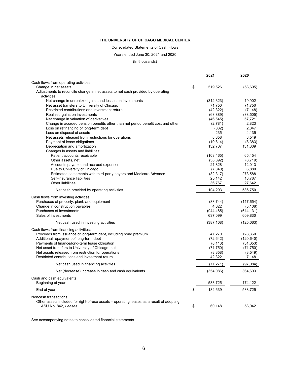Consolidated Statements of Cash Flows

Years ended June 30, 2021 and 2020

(In thousands)

|                                                                                                    | 2021                | 2020             |
|----------------------------------------------------------------------------------------------------|---------------------|------------------|
| Cash flows from operating activities:                                                              |                     |                  |
| Change in net assets                                                                               | \$<br>519,526       | (53, 695)        |
| Adjustments to reconcile change in net assets to net cash provided by operating                    |                     |                  |
| activities:                                                                                        |                     |                  |
| Net change in unrealized gains and losses on investments                                           | (312, 323)          | 19,902           |
| Net asset transfers to University of Chicago                                                       | 71,750              | 71,750           |
| Restricted contributions and investment return                                                     | (42, 322)           | (7, 148)         |
| Realized gains on investments                                                                      | (63, 889)           | (38, 505)        |
| Net change in valuation of derivatives                                                             | (46, 545)           | 57,721           |
| Change in accrued pension benefits other than net period benefit cost and other                    | (2,781)             | 2,823            |
| Loss on refinancing of long-term debt                                                              | (832)               | 2,347            |
| Loss on disposal of assets                                                                         | 235                 | 4,135            |
| Net assets released from restrictions for operations                                               | 8,358               | 8,549            |
| Payment of lease obligations                                                                       | (10, 814)           | (8, 383)         |
| Depreciation and amortization                                                                      | 132,707             | 131,609          |
| Changes in assets and liabilities:                                                                 |                     |                  |
| Patient accounts receivable                                                                        | (103, 465)          | 65,454           |
| Other assets, net                                                                                  | (38, 892)           | (8,719)          |
| Accounts payable and accrued expenses                                                              | 21,828              | 12,013           |
| Due to University of Chicago<br>Estimated settlements with third-party payors and Medicare Advance | (7, 840)            | 6,880<br>273,588 |
| Self-insurance liabilities                                                                         | (82, 317)<br>25,142 | 18,787           |
| Other liabilities                                                                                  | 36,767              | 27,642           |
|                                                                                                    |                     |                  |
| Net cash provided by operating activities                                                          | 104,293             | 586,750          |
| Cash flows from investing activities:                                                              |                     |                  |
| Purchases of property, plant, and equipment                                                        | (83, 744)           | (117, 654)       |
| Change in construction payables                                                                    | 4,022               | (3, 108)         |
| Purchases of investments                                                                           | (944, 485)          | (614, 131)       |
| Sales of investments                                                                               | 637,099             | 609,830          |
| Net cash used in investing activities                                                              | (387, 108)          | (125,063)        |
| Cash flows from financing activities:                                                              |                     |                  |
| Proceeds from issuance of long-term debt, including bond premium                                   | 47,270              | 128,360          |
| Additional repayment of long-term debt                                                             | (72, 642)           | (120, 640)       |
| Payments of finance/long-term lease obligation                                                     | (8, 113)            | (31, 653)        |
| Net asset transfers to University of Chicago, net                                                  | (71, 750)           | (71, 750)        |
| Net assets released from restriction for operations                                                | (8,358)             | (8, 549)         |
| Restricted contributions and investment return                                                     | 42,322              | 7,148            |
| Net cash used in financing activities                                                              | (71, 271)           | (97,084)         |
| Net (decrease) increase in cash and cash equivalents                                               | (354,086)           | 364,603          |
| Cash and cash equivalents:                                                                         |                     |                  |
| Beginning of year                                                                                  | 538,725             | 174,122          |
| End of year                                                                                        | \$<br>184,639       | 538,725          |
| Noncash transactions:                                                                              |                     |                  |
| Other assets included for right-of-use assets – operating leases as a result of adopting           |                     |                  |
| ASU No. 842, Leases                                                                                | \$<br>60.148        | 53.042           |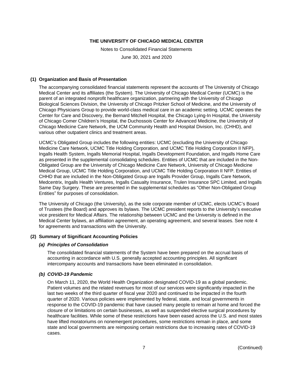Notes to Consolidated Financial Statements

June 30, 2021 and 2020

# **(1) Organization and Basis of Presentation**

The accompanying consolidated financial statements represent the accounts of The University of Chicago Medical Center and its affiliates (the System). The University of Chicago Medical Center (UCMC) is the parent of an integrated nonprofit healthcare organization, partnering with the University of Chicago Biological Sciences Division, the University of Chicago Pritzker School of Medicine, and the University of Chicago Physicians Group to provide world-class medical care in an academic setting. UCMC operates the Center for Care and Discovery, the Bernard Mitchell Hospital, the Chicago Lying-In Hospital, the University of Chicago Comer Children's Hospital, the Duchossois Center for Advanced Medicine, the University of Chicago Medicine Care Network, the UCM Community Health and Hospital Division, Inc. (CHHD), and various other outpatient clinics and treatment areas.

UCMC's Obligated Group includes the following entities: UCMC (excluding the University of Chicago Medicine Care Network, UCMC Title Holding Corporation, and UCMC Title Holding Corporation II NFP), Ingalls Health System, Ingalls Memorial Hospital, Ingalls Development Foundation, and Ingalls Home Care as presented in the supplemental consolidating schedules. Entities of UCMC that are included in the Non-Obligated Group are the University of Chicago Medicine Care Network, University of Chicago Medicine Medical Group, UCMC Title Holding Corporation, and UCMC Title Holding Corporation II NFP. Entities of CHHD that are included in the Non-Obligated Group are Ingalls Provider Group, Ingalls Care Network, Medcentrix, Ingalls Health Ventures, Ingalls Casualty Insurance, Trulen Insurance SPC Limited, and Ingalls Same Day Surgery. These are presented in the supplemental schedules as "Other Non-Obligated Group Entities" for purposes of consolidation.

The University of Chicago (the University), as the sole corporate member of UCMC, elects UCMC's Board of Trustees (the Board) and approves its bylaws. The UCMC president reports to the University's executive vice president for Medical Affairs. The relationship between UCMC and the University is defined in the Medical Center bylaws, an affiliation agreement, an operating agreement, and several leases. See note 4 for agreements and transactions with the University.

# **(2) Summary of Significant Accounting Policies**

#### *(a) Principles of Consolidation*

The consolidated financial statements of the System have been prepared on the accrual basis of accounting in accordance with U.S. generally accepted accounting principles. All significant intercompany accounts and transactions have been eliminated in consolidation.

# *(b) COVID-19 Pandemic*

On March 11, 2020, the World Health Organization designated COVID-19 as a global pandemic. Patient volumes and the related revenues for most of our services were significantly impacted in the last two weeks of the third quarter of fiscal year 2020 and continued to be impacted in the fourth quarter of 2020. Various policies were implemented by federal, state, and local governments in response to the COVID-19 pandemic that have caused many people to remain at home and forced the closure of or limitations on certain businesses, as well as suspended elective surgical procedures by healthcare facilities. While some of these restrictions have been eased across the U.S. and most states have lifted moratoriums on nonemergent procedures, some restrictions remain in place, and some state and local governments are reimposing certain restrictions due to increasing rates of COVID-19 cases.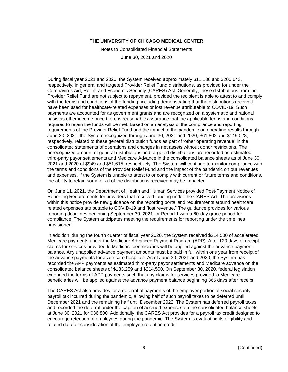Notes to Consolidated Financial Statements

June 30, 2021 and 2020

During fiscal year 2021 and 2020, the System received approximately \$11,136 and \$200,643, respectively, in general and targeted Provider Relief Fund distributions, as provided for under the Coronavirus Aid, Relief, and Economic Security (CARES) Act. Generally, these distributions from the Provider Relief Fund are not subject to repayment, provided the recipient is able to attest to and comply with the terms and conditions of the funding, including demonstrating that the distributions received have been used for healthcare-related expenses or lost revenue attributable to COVID-19. Such payments are accounted for as government grants and are recognized on a systematic and rational basis as other income once there is reasonable assurance that the applicable terms and conditions required to retain the funds will be met. Based on an analysis of the compliance and reporting requirements of the Provider Relief Fund and the impact of the pandemic on operating results through June 30, 2021, the System recognized through June 30, 2021 and 2020, \$61,802 and \$149,028, respectively, related to these general distribution funds as part of 'other operating revenue' in the consolidated statements of operations and changes in net assets without donor restrictions. The unrecognized amount of general distributions and targeted distributions are recorded as estimated third-party payor settlements and Medicare Advance in the consolidated balance sheets as of June 30, 2021 and 2020 of \$949 and \$51,615, respectively. The System will continue to monitor compliance with the terms and conditions of the Provider Relief Fund and the impact of the pandemic on our revenues and expenses. If the System is unable to attest to or comply with current or future terms and conditions, the ability to retain some or all of the distributions received may be impacted.

On June 11, 2021, the Department of Health and Human Services provided Post-Payment Notice of Reporting Requirements for providers that received funding under the CARES Act. The provisions within this notice provide new guidance on the reporting portal and requirements around healthcare related expenses attributable to COVID-19 and "lost revenue." The guidance provides for various reporting deadlines beginning September 30, 2021 for Period 1 with a 60-day grace period for compliance. The System anticipates meeting the requirements for reporting under the timelines provisioned.

In addition, during the fourth quarter of fiscal year 2020, the System received \$214,500 of accelerated Medicare payments under the Medicare Advanced Payment Program (APP). After 120 days of receipt, claims for services provided to Medicare beneficiaries will be applied against the advance payment balance. Any unapplied advance payment amounts must be paid in full within one year from receipt of the advance payments for acute care hospitals. As of June 30, 2021 and 2020, the System has recorded the APP payments as estimated third-party payor settlements and Medicare advance on the consolidated balance sheets of \$183,259 and \$214,500. On September 30, 2020, federal legislation extended the terms of APP payments such that any claims for services provided to Medicare beneficiaries will be applied against the advance payment balance beginning 365 days after receipt.

The CARES Act also provides for a deferral of payments of the employer portion of social security payroll tax incurred during the pandemic, allowing half of such payroll taxes to be deferred until December 2021 and the remaining half until December 2022. The System has deferred payroll taxes and recorded the deferral under the caption of accrued expenses on the consolidated balance sheets at June 30, 2021 for \$36,800. Additionally, the CARES Act provides for a payroll tax credit designed to encourage retention of employees during the pandemic. The System is evaluating its eligibility and related data for consideration of the employee retention credit.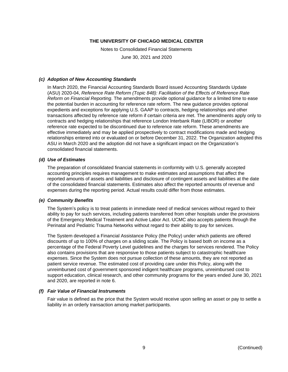Notes to Consolidated Financial Statements

June 30, 2021 and 2020

#### *(c) Adoption of New Accounting Standards*

In March 2020, the Financial Accounting Standards Board issued Accounting Standards Update (ASU) 2020-04, *Reference Rate Reform (Topic 848): Facilitation of the Effects of Reference Rate Reform on Financial Reporting*. The amendments provide optional guidance for a limited time to ease the potential burden in accounting for reference rate reform. The new guidance provides optional expedients and exceptions for applying U.S. GAAP to contracts, hedging relationships and other transactions affected by reference rate reform if certain criteria are met. The amendments apply only to contracts and hedging relationships that reference London Interbank Rate (LIBOR) or another reference rate expected to be discontinued due to reference rate reform. These amendments are effective immediately and may be applied prospectively to contract modifications made and hedging relationships entered into or evaluated on or before December 31, 2022. The Organization adopted this ASU in March 2020 and the adoption did not have a significant impact on the Organization's consolidated financial statements.

#### *(d) Use of Estimates*

The preparation of consolidated financial statements in conformity with U.S. generally accepted accounting principles requires management to make estimates and assumptions that affect the reported amounts of assets and liabilities and disclosure of contingent assets and liabilities at the date of the consolidated financial statements. Estimates also affect the reported amounts of revenue and expenses during the reporting period. Actual results could differ from those estimates.

#### *(e) Community Benefits*

The System's policy is to treat patients in immediate need of medical services without regard to their ability to pay for such services, including patients transferred from other hospitals under the provisions of the Emergency Medical Treatment and Active Labor Act. UCMC also accepts patients through the Perinatal and Pediatric Trauma Networks without regard to their ability to pay for services.

The System developed a Financial Assistance Policy (the Policy) under which patients are offered discounts of up to 100% of charges on a sliding scale. The Policy is based both on income as a percentage of the Federal Poverty Level guidelines and the charges for services rendered. The Policy also contains provisions that are responsive to those patients subject to catastrophic healthcare expenses. Since the System does not pursue collection of these amounts, they are not reported as patient service revenue. The estimated cost of providing care under this Policy, along with the unreimbursed cost of government sponsored indigent healthcare programs, unreimbursed cost to support education, clinical research, and other community programs for the years ended June 30, 2021 and 2020, are reported in note 6.

#### *(f) Fair Value of Financial Instruments*

Fair value is defined as the price that the System would receive upon selling an asset or pay to settle a liability in an orderly transaction among market participants.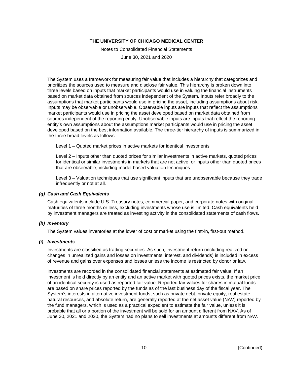Notes to Consolidated Financial Statements

June 30, 2021 and 2020

The System uses a framework for measuring fair value that includes a hierarchy that categorizes and prioritizes the sources used to measure and disclose fair value. This hierarchy is broken down into three levels based on inputs that market participants would use in valuing the financial instruments based on market data obtained from sources independent of the System. Inputs refer broadly to the assumptions that market participants would use in pricing the asset, including assumptions about risk. Inputs may be observable or unobservable. Observable inputs are inputs that reflect the assumptions market participants would use in pricing the asset developed based on market data obtained from sources independent of the reporting entity. Unobservable inputs are inputs that reflect the reporting entity's own assumptions about the assumptions market participants would use in pricing the asset developed based on the best information available. The three-tier hierarchy of inputs is summarized in the three broad levels as follows:

Level 1 – Quoted market prices in active markets for identical investments

Level 2 – Inputs other than quoted prices for similar investments in active markets, quoted prices for identical or similar investments in markets that are not active, or inputs other than quoted prices that are observable, including model-based valuation techniques

Level 3 – Valuation techniques that use significant inputs that are unobservable because they trade infrequently or not at all.

#### *(g) Cash and Cash Equivalents*

Cash equivalents include U.S. Treasury notes, commercial paper, and corporate notes with original maturities of three months or less, excluding investments whose use is limited. Cash equivalents held by investment managers are treated as investing activity in the consolidated statements of cash flows.

#### *(h) Inventory*

The System values inventories at the lower of cost or market using the first-in, first-out method.

#### *(i) Investments*

Investments are classified as trading securities. As such, investment return (including realized or changes in unrealized gains and losses on investments, interest, and dividends) is included in excess of revenue and gains over expenses and losses unless the income is restricted by donor or law.

Investments are recorded in the consolidated financial statements at estimated fair value. If an investment is held directly by an entity and an active market with quoted prices exists, the market price of an identical security is used as reported fair value. Reported fair values for shares in mutual funds are based on share prices reported by the funds as of the last business day of the fiscal year. The System's interests in alternative investment funds, such as private debt, private equity, real estate, natural resources, and absolute return, are generally reported at the net asset value (NAV) reported by the fund managers, which is used as a practical expedient to estimate the fair value, unless it is probable that all or a portion of the investment will be sold for an amount different from NAV. As of June 30, 2021 and 2020, the System had no plans to sell investments at amounts different from NAV.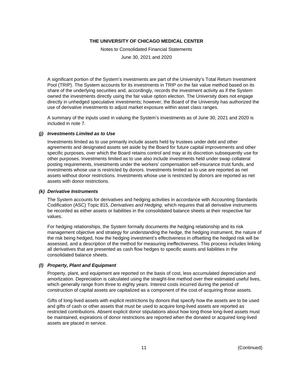Notes to Consolidated Financial Statements

June 30, 2021 and 2020

A significant portion of the System's investments are part of the University's Total Return Investment Pool (TRIP). The System accounts for its investments in TRIP on the fair value method based on its share of the underlying securities and, accordingly, records the investment activity as if the System owned the investments directly using the fair value option election. The University does not engage directly in unhedged speculative investments; however, the Board of the University has authorized the use of derivative investments to adjust market exposure within asset class ranges.

A summary of the inputs used in valuing the System's investments as of June 30, 2021 and 2020 is included in note 7.

# *(j) Investments Limited as to Use*

Investments limited as to use primarily include assets held by trustees under debt and other agreements and designated assets set aside by the Board for future capital improvements and other specific purposes, over which the Board retains control and may at its discretion subsequently use for other purposes. Investments limited as to use also include investments held under swap collateral posting requirements, investments under the workers' compensation self-insurance trust funds, and investments whose use is restricted by donors. Investments limited as to use are reported as net assets without donor restrictions. Investments whose use is restricted by donors are reported as net assets with donor restrictions.

#### *(k) Derivative Instruments*

The System accounts for derivatives and hedging activities in accordance with Accounting Standards Codification (ASC) Topic 815, *Derivatives and Hedging*, which requires that all derivative instruments be recorded as either assets or liabilities in the consolidated balance sheets at their respective fair values.

For hedging relationships, the System formally documents the hedging relationship and its risk management objective and strategy for understanding the hedge, the hedging instrument, the nature of the risk being hedged, how the hedging investment's effectiveness in offsetting the hedged risk will be assessed, and a description of the method for measuring ineffectiveness. This process includes linking all derivatives that are presented as cash flow hedges to specific assets and liabilities in the consolidated balance sheets.

#### *(l) Property, Plant and Equipment*

Property, plant, and equipment are reported on the basis of cost, less accumulated depreciation and amortization. Depreciation is calculated using the straight-line method over their estimated useful lives, which generally range from three to eighty years. Interest costs incurred during the period of construction of capital assets are capitalized as a component of the cost of acquiring those assets.

Gifts of long-lived assets with explicit restrictions by donors that specify how the assets are to be used and gifts of cash or other assets that must be used to acquire long-lived assets are reported as restricted contributions. Absent explicit donor stipulations about how long those long-lived assets must be maintained, expirations of donor restrictions are reported when the donated or acquired long-lived assets are placed in service.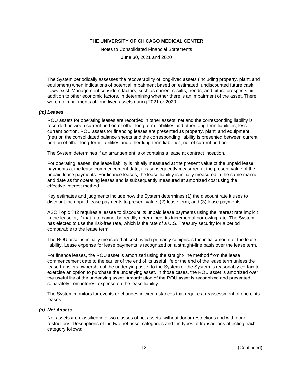Notes to Consolidated Financial Statements

June 30, 2021 and 2020

The System periodically assesses the recoverability of long-lived assets (including property, plant, and equipment) when indications of potential impairment based on estimated, undiscounted future cash flows exist. Management considers factors, such as current results, trends, and future prospects, in addition to other economic factors, in determining whether there is an impairment of the asset. There were no impairments of long-lived assets during 2021 or 2020.

#### *(m) Leases*

ROU assets for operating leases are recorded in other assets, net and the corresponding liability is recorded between current portion of other long-term liabilities and other long-term liabilities, less current portion. ROU assets for financing leases are presented as property, plant, and equipment (net) on the consolidated balance sheets and the corresponding liability is presented between current portion of other long-term liabilities and other long-term liabilities, net of current portion.

The System determines if an arrangement is or contains a lease at contract inception.

For operating leases, the lease liability is initially measured at the present value of the unpaid lease payments at the lease commencement date; it is subsequently measured at the present value of the unpaid lease payments. For finance leases, the lease liability is initially measured in the same manner and date as for operating leases and is subsequently measured at amortized cost using the effective-interest method.

Key estimates and judgments include how the System determines (1) the discount rate it uses to discount the unpaid lease payments to present value, (2) lease term, and (3) lease payments.

ASC Topic 842 requires a lessee to discount its unpaid lease payments using the interest rate implicit in the lease or, if that rate cannot be readily determined, its incremental borrowing rate. The System has elected to use the risk-free rate, which is the rate of a U.S. Treasury security for a period comparable to the lease term.

The ROU asset is initially measured at cost, which primarily comprises the initial amount of the lease liability. Lease expense for lease payments is recognized on a straight-line basis over the lease term.

For finance leases, the ROU asset is amortized using the straight-line method from the lease commencement date to the earlier of the end of its useful life or the end of the lease term unless the lease transfers ownership of the underlying asset to the System or the System is reasonably certain to exercise an option to purchase the underlying asset. In those cases, the ROU asset is amortized over the useful life of the underlying asset. Amortization of the ROU asset is recognized and presented separately from interest expense on the lease liability.

The System monitors for events or changes in circumstances that require a reassessment of one of its leases.

#### *(n) Net Assets*

Net assets are classified into two classes of net assets: without donor restrictions and with donor restrictions. Descriptions of the two net asset categories and the types of transactions affecting each category follows: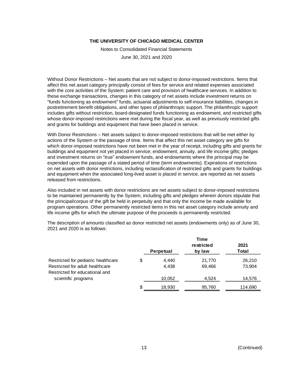Notes to Consolidated Financial Statements

June 30, 2021 and 2020

Without Donor Restrictions – Net assets that are not subject to donor-imposed restrictions. Items that affect this net asset category principally consist of fees for service and related expenses associated with the core activities of the System: patient care and provision of healthcare services. In addition to these exchange transactions, changes in this category of net assets include investment returns on "funds functioning as endowment" funds, actuarial adjustments to self-insurance liabilities, changes in postretirement benefit obligations, and other types of philanthropic support. The philanthropic support includes gifts without restriction, board-designated funds functioning as endowment, and restricted gifts whose donor-imposed restrictions were met during the fiscal year, as well as previously restricted gifts and grants for buildings and equipment that have been placed in service.

With Donor Restrictions – Net assets subject to donor-imposed restrictions that will be met either by actions of the System or the passage of time. Items that affect this net asset category are gifts for which donor-imposed restrictions have not been met in the year of receipt, including gifts and grants for buildings and equipment not yet placed in service; endowment, annuity, and life income gifts; pledges and investment returns on "true" endowment funds, and endowments where the principal may be expended upon the passage of a stated period of time (term endowments). Expirations of restrictions on net assets with donor restrictions, including reclassification of restricted gifts and grants for buildings and equipment when the associated long-lived asset is placed in service, are reported as net assets released from restrictions.

Also included in net assets with donor restrictions are net assets subject to donor-imposed restrictions to be maintained permanently by the System, including gifts and pledges wherein donors stipulate that the principal/corpus of the gift be held in perpetuity and that only the income be made available for program operations. Other permanently restricted items in this net asset category include annuity and life income gifts for which the ultimate purpose of the proceeds is permanently restricted.

The description of amounts classified as donor restricted net assets (endowments only) as of June 30, 2021 and 2020 is as follows:

|                                                                   |                  | Time<br>restricted | 2021    |
|-------------------------------------------------------------------|------------------|--------------------|---------|
|                                                                   | <b>Perpetual</b> | by law             | Total   |
| Restricted for pediatric healthcare                               | \$<br>4,440      | 21,770             | 26,210  |
| Restricted for adult healthcare<br>Restricted for educational and | 4.438            | 69,466             | 73.904  |
| scientific programs                                               | 10,052           | 4.524              | 14,576  |
|                                                                   | \$<br>18.930     | 95,760             | 114,690 |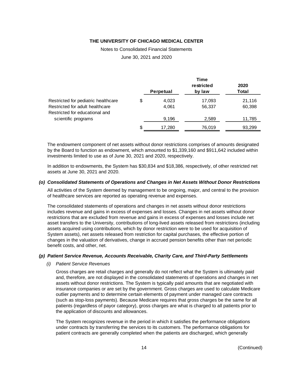Notes to Consolidated Financial Statements

June 30, 2021 and 2020

|                                     |                  | Time       |        |
|-------------------------------------|------------------|------------|--------|
|                                     |                  | restricted | 2020   |
|                                     | <b>Perpetual</b> | by law     | Total  |
| Restricted for pediatric healthcare | \$<br>4,023      | 17,093     | 21,116 |
| Restricted for adult healthcare     | 4,061            | 56,337     | 60,398 |
| Restricted for educational and      |                  |            |        |
| scientific programs                 | 9,196            | 2,589      | 11,785 |
|                                     | \$<br>17,280     | 76,019     | 93,299 |

The endowment component of net assets without donor restrictions comprises of amounts designated by the Board to function as endowment, which amounted to \$1,339,160 and \$911,642 included within investments limited to use as of June 30, 2021 and 2020, respectively.

In addition to endowments, the System has \$30,834 and \$18,386, respectively, of other restricted net assets at June 30, 2021 and 2020.

#### *(o) Consolidated Statements of Operations and Changes in Net Assets Without Donor Restrictions*

All activities of the System deemed by management to be ongoing, major, and central to the provision of healthcare services are reported as operating revenue and expenses.

The consolidated statements of operations and changes in net assets without donor restrictions includes revenue and gains in excess of expenses and losses. Changes in net assets without donor restrictions that are excluded from revenue and gains in excess of expenses and losses include net asset transfers to the University, contributions of long-lived assets released from restrictions (including assets acquired using contributions, which by donor restriction were to be used for acquisition of System assets), net assets released from restriction for capital purchases, the effective portion of changes in the valuation of derivatives, change in accrued pension benefits other than net periodic benefit costs, and other, net.

#### *(p) Patient Service Revenue, Accounts Receivable, Charity Care, and Third-Party Settlements*

#### *(i) Patient Service Revenues*

Gross charges are retail charges and generally do not reflect what the System is ultimately paid and, therefore, are not displayed in the consolidated statements of operations and changes in net assets without donor restrictions. The System is typically paid amounts that are negotiated with insurance companies or are set by the government. Gross charges are used to calculate Medicare outlier payments and to determine certain elements of payment under managed care contracts (such as stop-loss payments). Because Medicare requires that gross charges be the same for all patients (regardless of payor category), gross charges are what is charged to all patients prior to the application of discounts and allowances.

The System recognizes revenue in the period in which it satisfies the performance obligations under contracts by transferring the services to its customers. The performance obligations for patient contracts are generally completed when the patients are discharged, which generally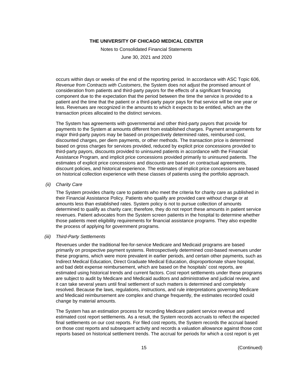Notes to Consolidated Financial Statements

June 30, 2021 and 2020

occurs within days or weeks of the end of the reporting period. In accordance with ASC Topic 606, *Revenue from Contracts with Customers*, the System does not adjust the promised amount of consideration from patients and third-party payors for the effects of a significant financing component due to the expectation that the period between the time the service is provided to a patient and the time that the patient or a third-party payor pays for that service will be one year or less. Revenues are recognized in the amounts to which it expects to be entitled, which are the transaction prices allocated to the distinct services.

The System has agreements with governmental and other third-party payors that provide for payments to the System at amounts different from established charges. Payment arrangements for major third-party payors may be based on prospectively determined rates, reimbursed cost, discounted charges, per diem payments, or other methods. The transaction price is determined based on gross charges for services provided, reduced by explicit price concessions provided to third-party payors, discounts provided to uninsured patients in accordance with the Financial Assistance Program, and implicit price concessions provided primarily to uninsured patients. The estimates of explicit price concessions and discounts are based on contractual agreements, discount policies, and historical experience. The estimates of implicit price concessions are based on historical collection experience with these classes of patients using the portfolio approach.

#### *(ii) Charity Care*

The System provides charity care to patients who meet the criteria for charity care as published in their Financial Assistance Policy. Patients who qualify are provided care without charge or at amounts less than established rates. System policy is not to pursue collection of amounts determined to qualify as charity care; therefore, they do not report these amounts in patient service revenues. Patient advocates from the System screen patients in the hospital to determine whether those patients meet eligibility requirements for financial assistance programs. They also expedite the process of applying for government programs.

#### *(iii) Third-Party Settlements*

Revenues under the traditional fee-for-service Medicare and Medicaid programs are based primarily on prospective payment systems. Retrospectively determined cost-based revenues under these programs, which were more prevalent in earlier periods, and certain other payments, such as Indirect Medical Education, Direct Graduate Medical Education, disproportionate share hospital, and bad debt expense reimbursement, which are based on the hospitals' cost reports, are estimated using historical trends and current factors. Cost report settlements under these programs are subject to audit by Medicare and Medicaid auditors and administrative and judicial review, and it can take several years until final settlement of such matters is determined and completely resolved. Because the laws, regulations, instructions, and rule interpretations governing Medicare and Medicaid reimbursement are complex and change frequently, the estimates recorded could change by material amounts.

The System has an estimation process for recording Medicare patient service revenue and estimated cost report settlements. As a result, the System records accruals to reflect the expected final settlements on our cost reports. For filed cost reports, the System records the accrual based on those cost reports and subsequent activity and records a valuation allowance against those cost reports based on historical settlement trends. The accrual for periods for which a cost report is yet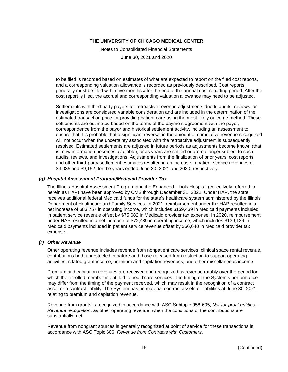Notes to Consolidated Financial Statements

June 30, 2021 and 2020

to be filed is recorded based on estimates of what are expected to report on the filed cost reports, and a corresponding valuation allowance is recorded as previously described. Cost reports generally must be filed within five months after the end of the annual cost reporting period. After the cost report is filed, the accrual and corresponding valuation allowance may need to be adjusted.

Settlements with third-party payors for retroactive revenue adjustments due to audits, reviews, or investigations are considered variable consideration and are included in the determination of the estimated transaction price for providing patient care using the most likely outcome method. These settlements are estimated based on the terms of the payment agreement with the payor, correspondence from the payor and historical settlement activity, including an assessment to ensure that it is probable that a significant reversal in the amount of cumulative revenue recognized will not occur when the uncertainty associated with the retroactive adjustment is subsequently resolved. Estimated settlements are adjusted in future periods as adjustments become known (that is, new information becomes available), or as years are settled or are no longer subject to such audits, reviews, and investigations. Adjustments from the finalization of prior years' cost reports and other third-party settlement estimates resulted in an increase in patient service revenues of \$4,035 and \$9,152, for the years ended June 30, 2021 and 2020, respectively.

# *(q) Hospital Assessment Program/Medicaid Provider Tax*

The Illinois Hospital Assessment Program and the Enhanced Illinois Hospital (collectively referred to herein as HAP) have been approved by CMS through December 31, 2022. Under HAP, the state receives additional federal Medicaid funds for the state's healthcare system administered by the Illinois Department of Healthcare and Family Services. In 2021, reimbursement under the HAP resulted in a net increase of \$83,757 in operating income, which includes \$159,439 in Medicaid payments included in patient service revenue offset by \$75,682 in Medicaid provider tax expense. In 2020, reimbursement under HAP resulted in a net increase of \$72,489 in operating income, which includes \$139,129 in Medicaid payments included in patient service revenue offset by \$66,640 in Medicaid provider tax expense.

#### *(r) Other Revenue*

Other operating revenue includes revenue from nonpatient care services, clinical space rental revenue, contributions both unrestricted in nature and those released from restriction to support operating activities, related grant income, premium and capitation revenues, and other miscellaneous income.

Premium and capitation revenues are received and recognized as revenue ratably over the period for which the enrolled member is entitled to healthcare services. The timing of the System's performance may differ from the timing of the payment received, which may result in the recognition of a contract asset or a contract liability. The System has no material contract assets or liabilities at June 30, 2021 relating to premium and capitation revenue.

Revenue from grants is recognized in accordance with ASC Subtopic 958-605, *Not-for-profit entities – Revenue recognition*, as other operating revenue, when the conditions of the contributions are substantially met.

Revenue from nongrant sources is generally recognized at point of service for these transactions in accordance with ASC Topic 606, *Revenue from Contracts with Customers*.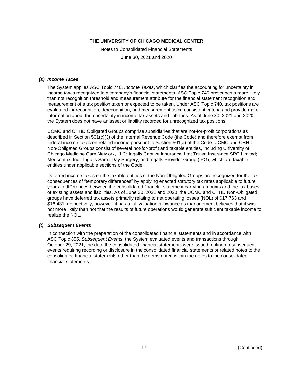Notes to Consolidated Financial Statements

June 30, 2021 and 2020

#### *(s) Income Taxes*

The System applies ASC Topic 740, *Income Taxes*, which clarifies the accounting for uncertainty in income taxes recognized in a company's financial statements. ASC Topic 740 prescribes a more likely than not recognition threshold and measurement attribute for the financial statement recognition and measurement of a tax position taken or expected to be taken. Under ASC Topic 740, tax positions are evaluated for recognition, derecognition, and measurement using consistent criteria and provide more information about the uncertainty in income tax assets and liabilities. As of June 30, 2021 and 2020, the System does not have an asset or liability recorded for unrecognized tax positions.

UCMC and CHHD Obligated Groups comprise subsidiaries that are not-for-profit corporations as described in Section 501(c)(3) of the Internal Revenue Code (the Code) and therefore exempt from federal income taxes on related income pursuant to Section 501(a) of the Code. UCMC and CHHD Non-Obligated Groups consist of several not-for-profit and taxable entities, including University of Chicago Medicine Care Network, LLC; Ingalls Captive Insurance, Ltd; Trulen Insurance SPC Limited; Medcentrix, Inc.; Ingalls Same Day Surgery; and Ingalls Provider Group (IPG), which are taxable entities under applicable sections of the Code.

Deferred income taxes on the taxable entities of the Non-Obligated Groups are recognized for the tax consequences of "temporary differences" by applying enacted statutory tax rates applicable to future years to differences between the consolidated financial statement carrying amounts and the tax bases of existing assets and liabilities. As of June 30, 2021 and 2020, the UCMC and CHHD Non-Obligated groups have deferred tax assets primarily relating to net operating losses (NOL) of \$17,763 and \$16,431, respectively; however, it has a full valuation allowance as management believes that it was not more likely than not that the results of future operations would generate sufficient taxable income to realize the NOL.

#### *(t) Subsequent Events*

In connection with the preparation of the consolidated financial statements and in accordance with ASC Topic 855, *Subsequent Events*, the System evaluated events and transactions through October 29, 2021, the date the consolidated financial statements were issued, noting no subsequent events requiring recording or disclosure in the consolidated financial statements or related notes to the consolidated financial statements other than the items noted within the notes to the consolidated financial statements.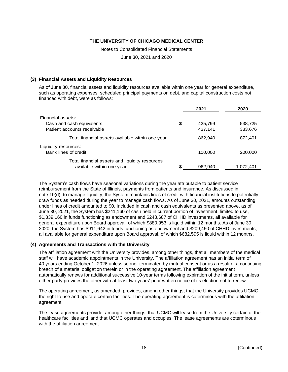Notes to Consolidated Financial Statements

June 30, 2021 and 2020

# **(3) Financial Assets and Liquidity Resources**

As of June 30, financial assets and liquidity resources available within one year for general expenditure, such as operating expenses, scheduled principal payments on debt, and capital construction costs not financed with debt, were as follows:

|                                                  | 2021          | 2020      |
|--------------------------------------------------|---------------|-----------|
| Financial assets:                                |               |           |
| Cash and cash equivalents                        | \$<br>425,799 | 538,725   |
| Patient accounts receivable                      | 437,141       | 333,676   |
| Total financial assets available within one year | 862,940       | 872,401   |
| Liquidity resources:                             |               |           |
| Bank lines of credit                             | 100,000       | 200,000   |
| Total financial assets and liquidity resources   |               |           |
| available within one year                        | \$<br>962,940 | 1,072,401 |

The System's cash flows have seasonal variations during the year attributable to patient service reimbursement from the State of Illinois, payments from patients and insurance. As discussed in note 10(d), to manage liquidity, the System maintains lines of credit with financial institutions to potentially draw funds as needed during the year to manage cash flows. As of June 30, 2021, amounts outstanding under lines of credit amounted to \$0. Included in cash and cash equivalents as presented above, as of June 30, 2021, the System has \$241,160 of cash held in current portion of investment, limited to use, \$1,339,160 in funds functioning as endowment and \$248,687 of CHHD investments, all available for general expenditure upon Board approval, of which \$880,953 is liquid within 12 months. As of June 30, 2020, the System has \$911,642 in funds functioning as endowment and \$209,450 of CHHD investments, all available for general expenditure upon Board approval, of which \$682,595 is liquid within 12 months.

# **(4) Agreements and Transactions with the University**

The affiliation agreement with the University provides, among other things, that all members of the medical staff will have academic appointments in the University. The affiliation agreement has an initial term of 40 years ending October 1, 2026 unless sooner terminated by mutual consent or as a result of a continuing breach of a material obligation therein or in the operating agreement. The affiliation agreement automatically renews for additional successive 10-year terms following expiration of the initial term, unless either party provides the other with at least two years' prior written notice of its election not to renew.

The operating agreement, as amended, provides, among other things, that the University provides UCMC the right to use and operate certain facilities. The operating agreement is coterminous with the affiliation agreement.

The lease agreements provide, among other things, that UCMC will lease from the University certain of the healthcare facilities and land that UCMC operates and occupies. The lease agreements are coterminous with the affiliation agreement.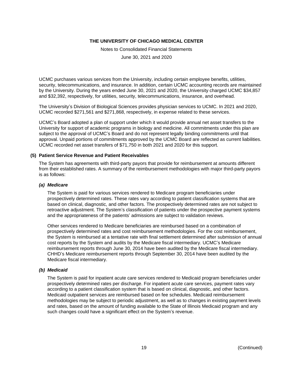Notes to Consolidated Financial Statements

June 30, 2021 and 2020

UCMC purchases various services from the University, including certain employee benefits, utilities, security, telecommunications, and insurance. In addition, certain UCMC accounting records are maintained by the University. During the years ended June 30, 2021 and 2020, the University charged UCMC \$34,857 and \$32,392, respectively, for utilities, security, telecommunications, insurance, and overhead.

The University's Division of Biological Sciences provides physician services to UCMC. In 2021 and 2020, UCMC recorded \$271,561 and \$271,868, respectively, in expense related to these services.

UCMC's Board adopted a plan of support under which it would provide annual net asset transfers to the University for support of academic programs in biology and medicine. All commitments under this plan are subject to the approval of UCMC's Board and do not represent legally binding commitments until that approval. Unpaid portions of commitments approved by the UCMC Board are reflected as current liabilities. UCMC recorded net asset transfers of \$71,750 in both 2021 and 2020 for this support.

#### **(5) Patient Service Revenue and Patient Receivables**

The System has agreements with third-party payors that provide for reimbursement at amounts different from their established rates. A summary of the reimbursement methodologies with major third-party payors is as follows:

# *(a) Medicare*

The System is paid for various services rendered to Medicare program beneficiaries under prospectively determined rates. These rates vary according to patient classification systems that are based on clinical, diagnostic, and other factors. The prospectively determined rates are not subject to retroactive adjustment. The System's classification of patients under the prospective payment systems and the appropriateness of the patients' admissions are subject to validation reviews.

Other services rendered to Medicare beneficiaries are reimbursed based on a combination of prospectively determined rates and cost reimbursement methodologies. For the cost reimbursement, the System is reimbursed at a tentative rate with final settlement determined after submission of annual cost reports by the System and audits by the Medicare fiscal intermediary. UCMC's Medicare reimbursement reports through June 30, 2014 have been audited by the Medicare fiscal intermediary. CHHD's Medicare reimbursement reports through September 30, 2014 have been audited by the Medicare fiscal intermediary.

# *(b) Medicaid*

The System is paid for inpatient acute care services rendered to Medicaid program beneficiaries under prospectively determined rates per discharge. For inpatient acute care services, payment rates vary according to a patient classification system that is based on clinical, diagnostic, and other factors. Medicaid outpatient services are reimbursed based on fee schedules. Medicaid reimbursement methodologies may be subject to periodic adjustment, as well as to changes in existing payment levels and rates, based on the amount of funding available to the State of Illinois Medicaid program and any such changes could have a significant effect on the System's revenue.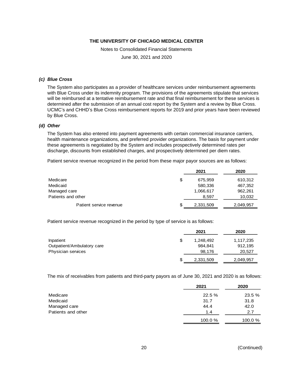Notes to Consolidated Financial Statements

June 30, 2021 and 2020

#### *(c) Blue Cross*

The System also participates as a provider of healthcare services under reimbursement agreements with Blue Cross under its indemnity program. The provisions of the agreements stipulate that services will be reimbursed at a tentative reimbursement rate and that final reimbursement for these services is determined after the submission of an annual cost report by the System and a review by Blue Cross. UCMC's and CHHD's Blue Cross reimbursement reports for 2019 and prior years have been reviewed by Blue Cross.

#### *(d) Other*

The System has also entered into payment agreements with certain commercial insurance carriers, health maintenance organizations, and preferred provider organizations. The basis for payment under these agreements is negotiated by the System and includes prospectively determined rates per discharge, discounts from established charges, and prospectively determined per diem rates.

Patient service revenue recognized in the period from these major payor sources are as follows:

|                         |   | 2021      | 2020      |
|-------------------------|---|-----------|-----------|
| Medicare                | S | 675,959   | 610,312   |
| Medicaid                |   | 580,336   | 467,352   |
| Managed care            |   | 1,066,617 | 962,261   |
| Patients and other      |   | 8,597     | 10,032    |
| Patient service revenue | S | 2,331,509 | 2,049,957 |

Patient service revenue recognized in the period by type of service is as follows:

|                            |    | 2021      | 2020      |
|----------------------------|----|-----------|-----------|
| Inpatient                  | \$ | 1,248,492 | 1,117,235 |
| Outpatient/Ambulatory care |    | 984.841   | 912,195   |
| Physician services         |    | 98,176    | 20,527    |
|                            | S  | 2,331,509 | 2,049,957 |

The mix of receivables from patients and third-party payors as of June 30, 2021 and 2020 is as follows:

|                    | 2021    | 2020    |
|--------------------|---------|---------|
| Medicare           | 22.5 %  | 23.5%   |
| Medicaid           | 31.7    | 31.8    |
| Managed care       | 44.4    | 42.0    |
| Patients and other | 1.4     | 2.7     |
|                    | 100.0 % | 100.0 % |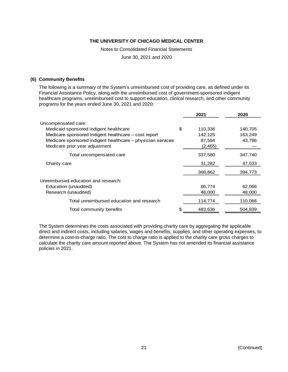Notes to Consolidated Financial Statements

June 30, 2021 and 2020

#### **(6) Community Benefits**

The following is a summary of the System's unreimbursed cost of providing care, as defined under its Financial Assistance Policy, along with the unreimbursed cost of government-sponsored indigent healthcare programs, unreimbursed cost to support education, clinical research, and other community programs for the years ended June 30, 2021 and 2020:

|                                                             | 2021          | 2020    |
|-------------------------------------------------------------|---------------|---------|
| Uncompensated care:                                         |               |         |
| Medicaid sponsored indigent healthcare                      | \$<br>110,336 | 140,705 |
| Medicare sponsored indigent healthcare - cost report        | 142,125       | 163,249 |
| Medicare sponsored indigent healthcare - physician services | 87,584        | 43,786  |
| Medicare prior year adjustment                              | (2, 465)      |         |
| Total uncompensated care                                    | 337,580       | 347,740 |
| Charity care                                                | 31,282        | 47,033  |
|                                                             | 368,862       | 394,773 |
| Unreimbursed education and research:                        |               |         |
| Education (unaudited)                                       | 66,774        | 62,066  |
| Research (unaudited)                                        | 48,000        | 48,000  |
| Total unreimbursed education and research                   | 114,774       | 110,066 |
| Total community benefits                                    | \$<br>483,636 | 504,839 |
|                                                             |               |         |

The System determines the costs associated with providing charity care by aggregating the applicable direct and indirect costs, including salaries, wages and benefits, supplies, and other operating expenses, to determine a cost-to-charge ratio. The cost to charge ratio is applied to the charity care gross charges to calculate the charity care amount reported above. The System has not amended its financial assistance policies in 2021.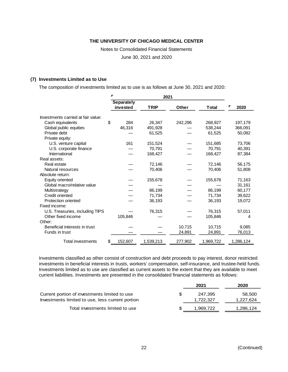Notes to Consolidated Financial Statements

June 30, 2021 and 2020

#### **(7) Investments Limited as to Use**

The composition of investments limited as to use is as follows at June 30, 2021 and 2020:

|                                    | Separately<br>invested | <b>TRIP</b> | <b>Other</b> | Total     | 2020      |
|------------------------------------|------------------------|-------------|--------------|-----------|-----------|
| Investments carried at fair value: |                        |             |              |           |           |
| Cash equivalents                   | \$<br>284              | 26,347      | 242,296      | 268,927   | 197,179   |
| Global public equities             | 46,316                 | 491,928     |              | 538,244   | 366,091   |
| Private debt                       |                        | 61,525      |              | 61,525    | 50,082    |
| Private equity:                    |                        |             |              |           |           |
| U.S. venture capital               | 161                    | 151,524     |              | 151,685   | 73,706    |
| U.S. corporate finance             |                        | 70,791      |              | 70,791    | 40,391    |
| International                      |                        | 168,427     |              | 168,427   | 87,384    |
| Real assets:                       |                        |             |              |           |           |
| Real estate                        |                        | 72,146      |              | 72,146    | 56,175    |
| Natural resources                  |                        | 70,406      |              | 70,406    | 51,808    |
| Absolute return:                   |                        |             |              |           |           |
| Equity oriented                    |                        | 155,678     |              | 155,678   | 71,163    |
| Global macro/relative value        |                        |             |              |           | 31,161    |
| Multistrategy                      |                        | 86,199      |              | 86,199    | 60,177    |
| Credit oriented                    |                        | 71,734      |              | 71,734    | 39,622    |
| Protection oriented                |                        | 36,193      |              | 36,193    | 19,072    |
| Fixed income:                      |                        |             |              |           |           |
| U.S. Treasuries, including TIPS    |                        | 76,315      |              | 76.315    | 57,011    |
| Other fixed income                 | 105,846                |             |              | 105,846   | 4         |
| Other:                             |                        |             |              |           |           |
| Beneficial interests in trust      |                        |             | 10,715       | 10,715    | 9,085     |
| Funds in trust                     |                        |             | 24,891       | 24,891    | 76,013    |
| <b>Total investments</b>           | \$<br>152,607          | 1,539,213   | 277,902      | 1,969,722 | 1,286,124 |

Investments classified as other consist of construction and debt proceeds to pay interest, donor restricted investments in beneficial interests in trusts, workers' compensation, self-insurance, and trustee-held funds. Investments limited as to use are classified as current assets to the extent that they are available to meet current liabilities. Investments are presented in the consolidated financial statements as follows:

|                                                                                                   | 2021                 | 2020                |
|---------------------------------------------------------------------------------------------------|----------------------|---------------------|
| Current portion of investments limited to use<br>Investments limited to use, less current portion | 247.395<br>1,722,327 | 58,500<br>1,227,624 |
| Total investments limited to use                                                                  | 1,969,722            | 1,286,124           |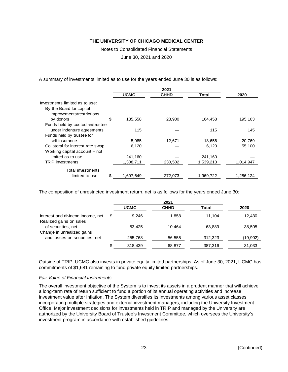Notes to Consolidated Financial Statements

June 30, 2021 and 2020

A summary of investments limited as to use for the years ended June 30 is as follows:

|                                                       |                 | 2021        |           |           |  |  |
|-------------------------------------------------------|-----------------|-------------|-----------|-----------|--|--|
|                                                       | <b>UCMC</b>     | <b>CHHD</b> | Total     | 2020      |  |  |
| Investments limited as to use:                        |                 |             |           |           |  |  |
| By the Board for capital<br>improvements/restrictions |                 |             |           |           |  |  |
| by donors                                             | \$<br>135,558   | 28,900      | 164,458   | 195,163   |  |  |
| Funds held by custodian/trustee                       |                 |             |           |           |  |  |
| under indenture agreements                            | 115             |             | 115       | 145       |  |  |
| Funds held by trustee for                             |                 |             |           |           |  |  |
| self-insurance                                        | 5,985           | 12,671      | 18,656    | 20,769    |  |  |
| Collateral for interest rate swap                     | 6,120           |             | 6,120     | 55.100    |  |  |
| Working capital account - not                         |                 |             |           |           |  |  |
| limited as to use                                     | 241,160         |             | 241,160   |           |  |  |
| TRIP investments                                      | 1,308,711       | 230,502     | 1,539,213 | 1,014,947 |  |  |
| Total investments                                     |                 |             |           |           |  |  |
| limited to use                                        | \$<br>1,697,649 | 272,073     | 1,969,722 | 1,286,124 |  |  |

The composition of unrestricted investment return, net is as follows for the years ended June 30:

|                                                              |   | <b>UCMC</b> | <b>CHHD</b> | Total   | 2020     |
|--------------------------------------------------------------|---|-------------|-------------|---------|----------|
| Interest and dividend income, net<br>Realized gains on sales | S | 9.246       | 1,858       | 11.104  | 12.430   |
| of securities, net                                           |   | 53,425      | 10.464      | 63.889  | 38,505   |
| Change in unrealized gains                                   |   |             |             |         |          |
| and losses on securities, net                                |   | 255,768     | 56,555      | 312,323 | (19,902) |
|                                                              | S | 318,439     | 68,877      | 387,316 | 31,033   |

Outside of TRIP, UCMC also invests in private equity limited partnerships. As of June 30, 2021, UCMC has commitments of \$1,681 remaining to fund private equity limited partnerships.

#### *Fair Value of Financial Instruments*

The overall investment objective of the System is to invest its assets in a prudent manner that will achieve a long-term rate of return sufficient to fund a portion of its annual operating activities and increase investment value after inflation. The System diversifies its investments among various asset classes incorporating multiple strategies and external investment managers, including the University Investment Office. Major investment decisions for investments held in TRIP and managed by the University are authorized by the University Board of Trustee's Investment Committee, which oversees the University's investment program in accordance with established guidelines.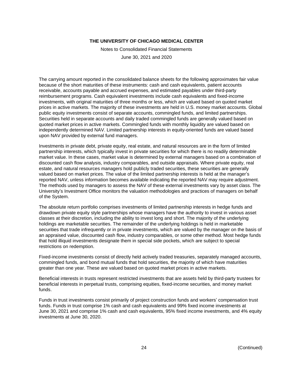Notes to Consolidated Financial Statements

June 30, 2021 and 2020

The carrying amount reported in the consolidated balance sheets for the following approximates fair value because of the short maturities of these instruments: cash and cash equivalents, patient accounts receivable, accounts payable and accrued expenses, and estimated payables under third-party reimbursement programs. Cash equivalent investments include cash equivalents and fixed-income investments, with original maturities of three months or less, which are valued based on quoted market prices in active markets. The majority of these investments are held in U.S. money market accounts. Global public equity investments consist of separate accounts, commingled funds, and limited partnerships. Securities held in separate accounts and daily traded commingled funds are generally valued based on quoted market prices in active markets. Commingled funds with monthly liquidity are valued based on independently determined NAV. Limited partnership interests in equity-oriented funds are valued based upon NAV provided by external fund managers.

Investments in private debt, private equity, real estate, and natural resources are in the form of limited partnership interests, which typically invest in private securities for which there is no readily determinable market value. In these cases, market value is determined by external managers based on a combination of discounted cash flow analysis, industry comparables, and outside appraisals. Where private equity, real estate, and natural resources managers hold publicly traded securities, these securities are generally valued based on market prices. The value of the limited partnership interests is held at the manager's reported NAV, unless information becomes available indicating the reported NAV may require adjustment. The methods used by managers to assess the NAV of these external investments vary by asset class. The University's Investment Office monitors the valuation methodologies and practices of managers on behalf of the System.

The absolute return portfolio comprises investments of limited partnership interests in hedge funds and drawdown private equity style partnerships whose managers have the authority to invest in various asset classes at their discretion, including the ability to invest long and short. The majority of the underlying holdings are marketable securities. The remainder of the underlying holdings is held in marketable securities that trade infrequently or in private investments, which are valued by the manager on the basis of an appraised value, discounted cash flow, industry comparables, or some other method. Most hedge funds that hold illiquid investments designate them in special side pockets, which are subject to special restrictions on redemption.

Fixed-income investments consist of directly held actively traded treasuries, separately managed accounts, commingled funds, and bond mutual funds that hold securities, the majority of which have maturities greater than one year. These are valued based on quoted market prices in active markets.

Beneficial interests in trusts represent restricted investments that are assets held by third-party trustees for beneficial interests in perpetual trusts, comprising equities, fixed-income securities, and money market funds.

Funds in trust investments consist primarily of project construction funds and workers' compensation trust funds. Funds in trust comprise 1% cash and cash equivalents and 99% fixed income investments at June 30, 2021 and comprise 1% cash and cash equivalents, 95% fixed income investments, and 4% equity investments at June 30, 2020.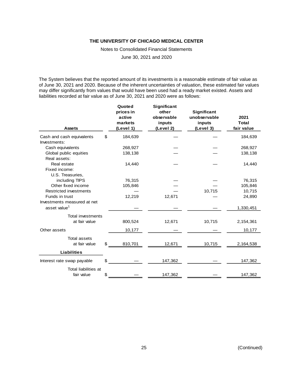Notes to Consolidated Financial Statements

June 30, 2021 and 2020

The System believes that the reported amount of its investments is a reasonable estimate of fair value as of June 30, 2021 and 2020. Because of the inherent uncertainties of valuation, these estimated fair values may differ significantly from values that would have been used had a ready market existed. Assets and liabilities recorded at fair value as of June 30, 2021 and 2020 were as follows:

| <b>Assets</b>                 | Quoted<br>prices in<br>active<br>markets<br>(Level 1) | <b>Significant</b><br>other<br>observable<br>inputs<br>(Level 2) | Significant<br>unobservable<br>inputs<br>(Level 3) | 2021<br>Total<br>fair value |
|-------------------------------|-------------------------------------------------------|------------------------------------------------------------------|----------------------------------------------------|-----------------------------|
| Cash and cash equivalents     | \$<br>184,639                                         |                                                                  |                                                    | 184,639                     |
| Investments:                  |                                                       |                                                                  |                                                    |                             |
| Cash equivalents              | 268,927                                               |                                                                  |                                                    | 268,927                     |
| Global public equities        | 138,138                                               |                                                                  |                                                    | 138,138                     |
| Real assets:                  |                                                       |                                                                  |                                                    |                             |
| Real estate                   | 14,440                                                |                                                                  |                                                    | 14,440                      |
| Fixed income:                 |                                                       |                                                                  |                                                    |                             |
| U.S. Treasuries,              |                                                       |                                                                  |                                                    |                             |
| including TIPS                | 76,315                                                |                                                                  |                                                    | 76,315                      |
| Other fixed income            | 105,846                                               |                                                                  |                                                    | 105,846                     |
| <b>Restricted investments</b> |                                                       |                                                                  | 10,715                                             | 10,715                      |
| Funds in trust                | 12,219                                                | 12,671                                                           |                                                    | 24,890                      |
| Investments measured at net   |                                                       |                                                                  |                                                    |                             |
| asset value <sup>1</sup>      |                                                       |                                                                  |                                                    | 1,330,451                   |
| <b>Total investments</b>      |                                                       |                                                                  |                                                    |                             |
| at fair value                 | 800,524                                               | 12,671                                                           | 10,715                                             | 2,154,361                   |
| Other assets                  | 10,177                                                |                                                                  |                                                    | 10,177                      |
| <b>Total assets</b>           |                                                       |                                                                  |                                                    |                             |
| at fair value                 | \$<br>810,701                                         | 12,671                                                           | 10,715                                             | 2,164,538                   |
|                               |                                                       |                                                                  |                                                    |                             |
| <b>Liabilities</b>            |                                                       |                                                                  |                                                    |                             |
| Interest rate swap payable    | \$                                                    | 147,362                                                          |                                                    | 147,362                     |
| <b>Total liabilities at</b>   |                                                       |                                                                  |                                                    |                             |
| fair value                    | \$                                                    | 147,362                                                          |                                                    | 147,362                     |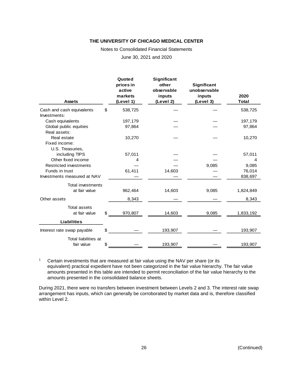Notes to Consolidated Financial Statements

June 30, 2021 and 2020

|                                                  | Quoted<br>prices in<br>active | Significant<br>other<br>observable | Significant<br>unobservable |               |
|--------------------------------------------------|-------------------------------|------------------------------------|-----------------------------|---------------|
| <b>Assets</b>                                    | markets<br>(Level 1)          | inputs<br>(Level 2)                | inputs<br>(Level 3)         | 2020<br>Total |
|                                                  |                               |                                    |                             |               |
| Cash and cash equivalents<br>Investments:        | \$<br>538,725                 |                                    |                             | 538,725       |
| Cash equivalents                                 | 197,179                       |                                    |                             | 197,179       |
| Global public equities<br>Real assets:           | 97,864                        |                                    |                             | 97,864        |
| Real estate<br>Fixed income:<br>U.S. Treasuries, | 10,270                        |                                    |                             | 10,270        |
| including TIPS                                   | 57,011                        |                                    |                             | 57,011        |
| Other fixed income                               | 4                             |                                    |                             | 4             |
| <b>Restricted investments</b>                    |                               |                                    | 9,085                       | 9,085         |
| Funds in trust                                   | 61,411                        | 14,603                             |                             | 76,014        |
| Investments measured at NAV                      |                               |                                    |                             | 838,697       |
| Total investments                                |                               |                                    |                             |               |
| at fair value                                    | 962,464                       | 14,603                             | 9,085                       | 1,824,849     |
| Other assets                                     | 8,343                         |                                    |                             | 8,343         |
| <b>Total assets</b><br>at fair value             | \$<br>970,807                 | 14,603                             | 9,085                       | 1,833,192     |
| <b>Liabilities</b>                               |                               |                                    |                             |               |
| Interest rate swap payable                       | \$                            | 193,907                            |                             | 193,907       |
| Total liabilities at<br>fair value               | \$                            | 193,907                            |                             | 193,907       |

<sup>1</sup> Certain investments that are measured at fair value using the NAV per share (or its equivalent) practical expedient have not been categorized in the fair value hierarchy. The fair value amounts presented in this table are intended to permit reconciliation of the fair value hierarchy to the amounts presented in the consolidated balance sheets.

During 2021, there were no transfers between investment between Levels 2 and 3. The interest rate swap arrangement has inputs, which can generally be corroborated by market data and is, therefore classified within Level 2.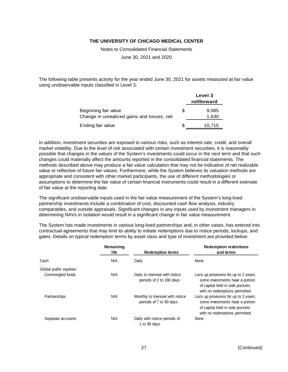Notes to Consolidated Financial Statements

June 30, 2021 and 2020

The following table presents activity for the year ended June 30, 2021 for assets measured at fair value using unobservable inputs classified in Level 3:

|                                                                    |   | Level 3<br>rollforward |
|--------------------------------------------------------------------|---|------------------------|
| Beginning fair value<br>Change in unrealized gains and losses, net | S | 9,085<br>1,630         |
| Ending fair value                                                  |   | 10.715                 |

In addition, investment securities are exposed to various risks, such as interest rate, credit, and overall market volatility. Due to the level of risk associated with certain investment securities, it is reasonably possible that changes in the values of the System's investments could occur in the next term and that such changes could materially affect the amounts reported in the consolidated financial statements. The methods described above may produce a fair value calculation that may not be indicative of net realizable value or reflective of future fair values. Furthermore, while the System believes its valuation methods are appropriate and consistent with other market participants, the use of different methodologies or assumptions to determine the fair value of certain financial instruments could result in a different estimate of fair value at the reporting date.

The significant unobservable inputs used in the fair value measurement of the System's long-lived partnership investments include a combination of cost, discounted cash flow analysis, industry comparables, and outside appraisals. Significant changes in any inputs used by investment managers in determining NAVs in isolation would result in a significant change in fair value measurement.

The System has made investments in various long-lived partnerships and, in other cases, has entered into contractual agreements that may limit its ability to initiate redemptions due to notice periods, lockups, and gates. Details on typical redemption terms by asset class and type of investment are provided below:

|                         | Remaining<br>life | <b>Redemption terms</b>                                     | <b>Redemption restrictions</b><br>and terms                                                                                                  |
|-------------------------|-------------------|-------------------------------------------------------------|----------------------------------------------------------------------------------------------------------------------------------------------|
| Cash                    | N/A               | Daily                                                       | None                                                                                                                                         |
| Global public equities: |                   |                                                             |                                                                                                                                              |
| Commingled funds        | N/A               | Daily to triennial with notice<br>periods of 2 to 180 days  | Lock up provisions for up to 2 years;<br>some investments have a portion<br>of capital held in side pockets<br>with no redemptions permitted |
| Partnerships            | N/A               | Monthly to triennial with notice<br>periods of 7 to 90 days | Lock up provisions for up to 3 years;<br>some investments have a portion<br>of capital held in side pockets<br>with no redemptions permitted |
| Separate accounts       | N/A               | Daily with notice periods of<br>1 to 90 days                | None                                                                                                                                         |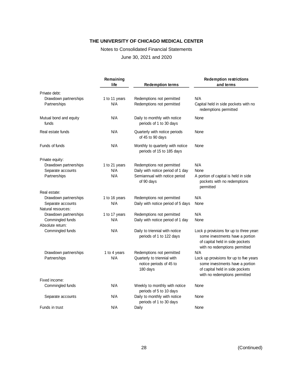#### Notes to Consolidated Financial Statements

June 30, 2021 and 2020

|                                       | Remaining<br>life    | <b>Redemption terms</b>                                            | <b>Redemption restrictions</b><br>and terms                                                                                                    |
|---------------------------------------|----------------------|--------------------------------------------------------------------|------------------------------------------------------------------------------------------------------------------------------------------------|
| Private debt:                         |                      |                                                                    |                                                                                                                                                |
| Drawdown partnerships<br>Partnerships | 1 to 11 years<br>N/A | Redemptions not permitted<br>Redemptions not permitted             | N/A<br>Capital held in side pockets with no<br>redemptions permitted                                                                           |
| Mutual bond and equity<br>funds       | N/A                  | Daily to monthly with notice<br>periods of 1 to 30 days            | None                                                                                                                                           |
| Real estate funds                     | N/A                  | Quarterly with notice periods<br>of 45 to 90 days                  | None                                                                                                                                           |
| Funds of funds                        | N/A                  | Monthly to quarterly with notice<br>periods of 15 to 185 days      | None                                                                                                                                           |
| Private equity:                       |                      |                                                                    |                                                                                                                                                |
| Drawdown partnerships                 | 1 to 21 years        | Redemptions not permitted                                          | N/A                                                                                                                                            |
| Separate accounts                     | N/A                  | Daily with notice period of 1 day                                  | None                                                                                                                                           |
| Partnerships                          | N/A                  | Semiannual with notice period<br>of 90 days                        | A portion of capital is held in side<br>pockets with no redemptions<br>permitted                                                               |
| Real estate:                          |                      |                                                                    |                                                                                                                                                |
| Drawdown partnerships                 | 1 to 16 years        | Redemptions not permitted                                          | N/A                                                                                                                                            |
| Separate accounts                     | N/A                  | Daily with notice period of 5 days                                 | None                                                                                                                                           |
| Natural resources:                    |                      |                                                                    |                                                                                                                                                |
| Drawdown partnerships                 | 1 to 17 years        | Redemptions not permitted                                          | N/A                                                                                                                                            |
| Commingled funds                      | N/A                  | Daily with notice period of 1 day                                  | None                                                                                                                                           |
| Absolute return:                      |                      |                                                                    |                                                                                                                                                |
| Commingled funds                      | N/A                  | Daily to triennial with notice<br>periods of 1 to 122 days         | Lock p provisions for up to three years<br>some investments have a portion<br>of capital held in side pockets<br>with no redemptions permitted |
| Drawdown partnerships                 | 1 to 4 years         | Redemptions not permitted                                          | N/A                                                                                                                                            |
| Partnerships                          | N/A                  | Quarterly to triennial with<br>notice periods of 45 to<br>180 days | Lock up provisions for up to five years<br>some investments have a portion<br>of capital held in side pockets<br>with no redemptions permitted |
| Fixed income:                         |                      |                                                                    |                                                                                                                                                |
| Commingled funds                      | N/A                  | Weekly to monthly with notice<br>periods of 5 to 10 days           | None                                                                                                                                           |
| Separate accounts                     | N/A                  | Daily to monthly with notice<br>periods of 1 to 30 days            | None                                                                                                                                           |
| Funds in trust                        | N/A                  | Daily                                                              | None                                                                                                                                           |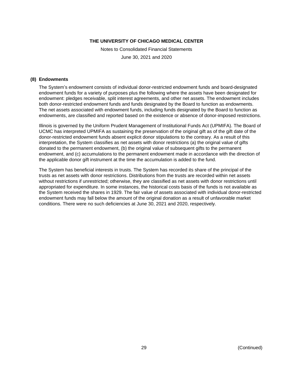Notes to Consolidated Financial Statements

June 30, 2021 and 2020

#### **(8) Endowments**

The System's endowment consists of individual donor-restricted endowment funds and board-designated endowment funds for a variety of purposes plus the following where the assets have been designated for endowment: pledges receivable, split interest agreements, and other net assets. The endowment includes both donor-restricted endowment funds and funds designated by the Board to function as endowments. The net assets associated with endowment funds, including funds designated by the Board to function as endowments, are classified and reported based on the existence or absence of donor-imposed restrictions.

Illinois is governed by the Uniform Prudent Management of Institutional Funds Act (UPMIFA). The Board of UCMC has interpreted UPMIFA as sustaining the preservation of the original gift as of the gift date of the donor-restricted endowment funds absent explicit donor stipulations to the contrary. As a result of this interpretation, the System classifies as net assets with donor restrictions (a) the original value of gifts donated to the permanent endowment, (b) the original value of subsequent gifts to the permanent endowment, and (c) accumulations to the permanent endowment made in accordance with the direction of the applicable donor gift instrument at the time the accumulation is added to the fund.

The System has beneficial interests in trusts. The System has recorded its share of the principal of the trusts as net assets with donor restrictions. Distributions from the trusts are recorded within net assets without restrictions if unrestricted; otherwise, they are classified as net assets with donor restrictions until appropriated for expenditure. In some instances, the historical costs basis of the funds is not available as the System received the shares in 1929. The fair value of assets associated with individual donor-restricted endowment funds may fall below the amount of the original donation as a result of unfavorable market conditions. There were no such deficiencies at June 30, 2021 and 2020, respectively.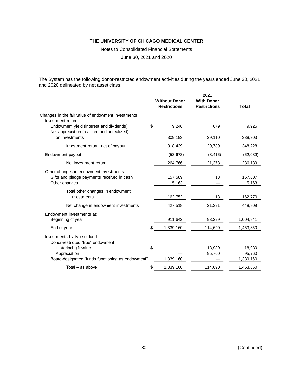Notes to Consolidated Financial Statements

June 30, 2021 and 2020

The System has the following donor-restricted endowment activities during the years ended June 30, 2021 and 2020 delineated by net asset class:

|                                                                                                        | 2021 |                      |                     |                  |
|--------------------------------------------------------------------------------------------------------|------|----------------------|---------------------|------------------|
|                                                                                                        |      | <b>Without Donor</b> | <b>With Donor</b>   |                  |
|                                                                                                        |      | <b>Restrictions</b>  | <b>Restrictions</b> | Total            |
| Changes in the fair value of endowment investments:<br>Investment return:                              |      |                      |                     |                  |
| Endowment yield (interest and dividends)<br>Net appreciation (realized and unrealized)                 | \$   | 9,246                | 679                 | 9,925            |
| on investments                                                                                         |      | 309,193              | 29,110              | 338,303          |
| Investment return, net of payout                                                                       |      | 318,439              | 29,789              | 348,228          |
| Endowment payout                                                                                       |      | (53, 673)            | (8, 416)            | (62,089)         |
| Net investment return                                                                                  |      | 264,766              | 21,373              | 286,139          |
| Other changes in endowment investments:<br>Gifts and pledge payments received in cash<br>Other changes |      | 157,589<br>5,163     | 18                  | 157,607<br>5,163 |
| Total other changes in endowment<br>investments                                                        |      | 162,752              | 18                  | 162,770          |
| Net change in endowment investments                                                                    |      | 427,518              | 21,391              | 448,909          |
| Endowment investments at:                                                                              |      |                      |                     |                  |
| Beginning of year                                                                                      |      | 911,642              | 93,299              | 1,004,941        |
| End of year                                                                                            | \$   | 1,339,160            | 114,690             | 1,453,850        |
| Investments by type of fund:<br>Donor-restricted "true" endowment:                                     |      |                      |                     |                  |
| Historical gift value                                                                                  | \$   |                      | 18,930              | 18,930           |
| Appreciation                                                                                           |      |                      | 95,760              | 95,760           |
| Board-designated "funds functioning as endowment"                                                      |      | 1,339,160            |                     | 1,339,160        |
| Total $-$ as above                                                                                     | \$   | 1,339,160            | 114,690             | 1,453,850        |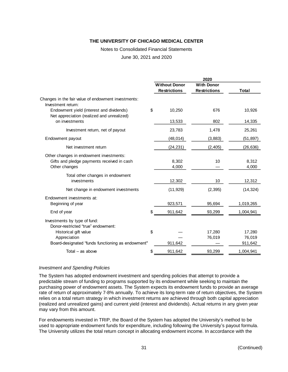Notes to Consolidated Financial Statements

June 30, 2021 and 2020

|                                                                                        | 2020                 |                     |                   |  |
|----------------------------------------------------------------------------------------|----------------------|---------------------|-------------------|--|
|                                                                                        | <b>Without Donor</b> | <b>With Donor</b>   |                   |  |
|                                                                                        | <b>Restrictions</b>  | <b>Restrictions</b> | Total             |  |
| Changes in the fair value of endowment investments:<br>Investment return:              |                      |                     |                   |  |
| Endowment yield (interest and dividends)<br>Net appreciation (realized and unrealized) | \$<br>10,250         | 676                 | 10,926            |  |
| on investments                                                                         | 13,533               | 802                 | 14,335            |  |
| Investment return, net of payout                                                       | 23,783               | 1,478               | 25,261            |  |
| Endowment payout                                                                       | (48, 014)            | (3,883)             | (51, 897)         |  |
| Net investment return                                                                  | (24, 231)            | (2, 405)            | (26, 636)         |  |
| Other changes in endowment investments:                                                |                      |                     |                   |  |
| Gifts and pledge payments received in cash                                             | 8,302                | 10                  | 8,312             |  |
| Other changes                                                                          | 4,000                |                     | 4,000             |  |
| Total other changes in endowment                                                       |                      |                     |                   |  |
| investments                                                                            | 12,302               | 10                  | 12,312            |  |
| Net change in endowment investments                                                    | (11, 929)            | (2, 395)            | (14, 324)         |  |
| Endowment investments at:                                                              |                      |                     |                   |  |
| Beginning of year                                                                      | 923,571              | 95,694              | 1,019,265         |  |
| End of year                                                                            | \$<br>911,642        | 93,299              | 1,004,941         |  |
| Investments by type of fund:                                                           |                      |                     |                   |  |
| Donor-restricted "true" endowment:                                                     |                      |                     |                   |  |
| Historical gift value                                                                  | \$                   | 17,280              | 17,280            |  |
| Appreciation<br>Board-designated "funds functioning as endowment"                      | 911,642              | 76,019              | 76,019<br>911,642 |  |
|                                                                                        |                      |                     |                   |  |
| Total $-$ as above                                                                     | \$<br>911,642        | 93,299              | 1,004,941         |  |

#### *Investment and Spending Policies*

The System has adopted endowment investment and spending policies that attempt to provide a predictable stream of funding to programs supported by its endowment while seeking to maintain the purchasing power of endowment assets. The System expects its endowment funds to provide an average rate of return of approximately 7-8% annually. To achieve its long-term rate of return objectives, the System relies on a total return strategy in which investment returns are achieved through both capital appreciation (realized and unrealized gains) and current yield (interest and dividends). Actual returns in any given year may vary from this amount.

For endowments invested in TRIP, the Board of the System has adopted the University's method to be used to appropriate endowment funds for expenditure, including following the University's payout formula. The University utilizes the total return concept in allocating endowment income. In accordance with the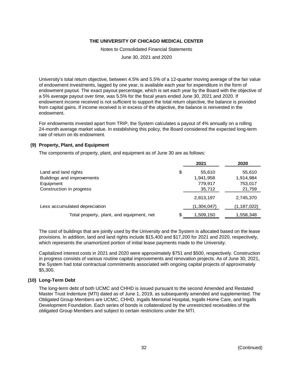Notes to Consolidated Financial Statements

June 30, 2021 and 2020

University's total return objective, between 4.5% and 5.5% of a 12-quarter moving average of the fair value of endowment investments, lagged by one year, is available each year for expenditure in the form of endowment payout. The exact payout percentage, which is set each year by the Board with the objective of a 5% average payout over time, was 5.5% for the fiscal years ended June 30, 2021 and 2020. If endowment income received is not sufficient to support the total return objective, the balance is provided from capital gains. If income received is in excess of the objective, the balance is reinvested in the endowment.

For endowments invested apart from TRIP, the System calculates a payout of 4% annually on a rolling 24-month average market value. In establishing this policy, the Board considered the expected long-term rate of return on its endowment.

# **(9) Property, Plant, and Equipment**

The components of property, plant, and equipment as of June 30 are as follows:

|                                           | 2021         | 2020          |
|-------------------------------------------|--------------|---------------|
| Land and land rights                      | \$<br>55,610 | 55,610        |
| Buildings and improvements                | 1,941,958    | 1,914,984     |
| Equipment                                 | 779,917      | 753,017       |
| Construction in progress                  | 35,712       | 21,759        |
|                                           | 2,813,197    | 2,745,370     |
| Less accumulated depreciation             | (1,304,047)  | (1, 187, 022) |
| Total property, plant, and equipment, net | 1,509,150    | 1,558,348     |

The cost of buildings that are jointly used by the University and the System is allocated based on the lease provisions. In addition, land and land rights include \$15,400 and \$17,200 for 2021 and 2020, respectively, which represents the unamortized portion of initial lease payments made to the University.

Capitalized interest costs in 2021 and 2020 were approximately \$751 and \$500, respectively. Construction in progress consists of various routine capital improvements and renovation projects. As of June 30, 2021, the System had total contractual commitments associated with ongoing capital projects of approximately \$5,300.

# **(10) Long-Term Debt**

The long-term debt of both UCMC and CHHD is issued pursuant to the second Amended and Restated Master Trust Indenture (MTI) dated as of June 1, 2019, as subsequently amended and supplemented. The Obligated Group Members are UCMC, CHHD, Ingalls Memorial Hospital, Ingalls Home Care, and Ingalls Development Foundation. Each series of bonds is collateralized by the unrestricted receivables of the obligated Group Members and subject to certain restrictions under the MTI.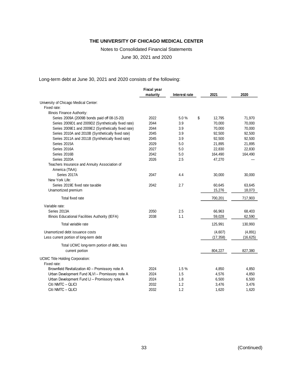Notes to Consolidated Financial Statements

June 30, 2021 and 2020

Long-term debt at June 30, 2021 and 2020 consists of the following:

|                                                                  | <b>Fiscal year</b> |               |              |           |
|------------------------------------------------------------------|--------------------|---------------|--------------|-----------|
|                                                                  | maturity           | Interest rate | 2021         | 2020      |
| University of Chicago Medical Center:                            |                    |               |              |           |
| Fixed rate:                                                      |                    |               |              |           |
| Illinois Finance Authority:                                      |                    |               |              |           |
| Series 2009A (2009B bonds paid off 08-15-20)                     | 2022               | 5.0%          | \$<br>12,795 | 71,970    |
| Series 2009D1 and 2009D2 (Synthetically fixed rate)              | 2044               | 3.9           | 70,000       | 70,000    |
| Series 2009E1 and 2009E2 (Synthetically fixed rate)              | 2044               | 3.9           | 70,000       | 70,000    |
| Series 2010A and 2010B (Synthetically fixed rate)                | 2045               | 3.9           | 92,500       | 92,500    |
| Series 2011A and 2011B (Synthetically fixed rate)                | 2045               | 3.9           | 92,500       | 92,500    |
| Series 2015A                                                     | 2029               | 5.0           | 21,895       | 21,895    |
| Series 2016A                                                     | 2027               | 5.0           | 22,830       | 22,830    |
| Series 2016B                                                     | 2042               | 5.0           | 164,490      | 164,490   |
| Series 2020A                                                     | 2026               | 2.5           | 47,270       |           |
| Teachers Insurance and Annuity Association of<br>America (TIAA): |                    |               |              |           |
| Series 2017A                                                     | 2047               | 4.4           | 30,000       | 30,000    |
| New York Life:                                                   |                    |               |              |           |
| Series 2019E fixed rate taxable                                  | 2042               | 2.7           | 60,645       | 63,645    |
| Unamortized premium                                              |                    |               | 15,276       | 18,073    |
| Total fixed rate                                                 |                    |               | 700,201      | 717,903   |
| Variable rate:                                                   |                    |               |              |           |
| Series 2013A                                                     | 2050               | 2.5           | 66,963       | 68,403    |
| Illinois Educational Facilities Authority (IEFA)                 | 2038               | 1.1           | 59,028       | 62,590    |
| Total variable rate                                              |                    |               | 125,991      | 130,993   |
| Unamortized debt issuance costs                                  |                    |               | (4,607)      | (4,891)   |
| Less current portion of long-term debt                           |                    |               | (17, 358)    | (16, 625) |
|                                                                  |                    |               |              |           |
| Total UCMC long-term portion of debt, less                       |                    |               |              |           |
| current portion                                                  |                    |               | 804,227      | 827,380   |
| UCMC Title Holding Corporation:                                  |                    |               |              |           |
| Fixed rate:                                                      |                    |               |              |           |
| Brownfield Revitalization 40 - Promissory note A                 | 2024               | 1.5%          | 4.850        | 4.850     |
| Urban Development Fund XLVI - Promissory note A                  | 2024               | 1.5           | 4,576        | 4,850     |
| Urban Development Fund LI - Promissory note A                    | 2024               | 1.8           | 6,500        | 6,500     |
| Citi NMTC - QLICI                                                | 2032               | 1.2           | 3,476        | 3,476     |
| Citi NMTC - QLICI                                                | 2032               | 1.2           | 1,620        | 1,620     |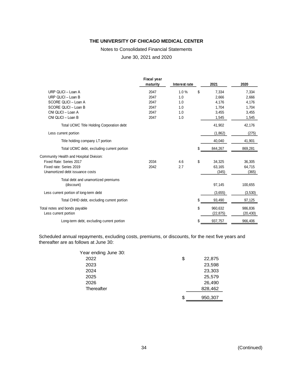#### Notes to Consolidated Financial Statements

June 30, 2021 and 2020

|                                            | <b>Fiscal year</b><br>maturity | Interest rate | 2021          | 2020      |
|--------------------------------------------|--------------------------------|---------------|---------------|-----------|
| URP QLICI - Loan A                         | 2047                           | 1.0%          | \$<br>7,334   | 7,334     |
| URP QLICI - Loan B                         | 2047                           | 1.0           | 2,666         | 2,666     |
| SCORE QLICI - Loan A                       | 2047                           | 1.0           | 4,176         | 4,176     |
| SCORE QLICI - Loan B                       | 2047                           | 1.0           | 1,704         | 1,704     |
| CNI QLICI - Loan A                         | 2047                           | 1.0           | 3,455         | 3,455     |
| CNI QLICI - Loan B                         | 2047                           | 1.0           | 1,545         | 1,545     |
| Total UCMC Title Holding Corporation debt  |                                |               | 41,902        | 42,176    |
| Less current portion                       |                                |               | (1,862)       | (275)     |
| Title holding company LT portion           |                                |               | 40,040        | 41,901    |
| Total UCMC debt, excluding current portion |                                |               | \$<br>844,267 | 869,281   |
| Community Health and Hospital Division:    |                                |               |               |           |
| Fixed Rate: Series 2017                    | 2034                           | 4.6           | \$<br>34.325  | 36,305    |
| Fixed rate: Series 2019                    | 2042                           | 2.7           | 63,165        | 64,715    |
| Unamortized debt issuance costs            |                                |               | (345)         | (365)     |
| Total debt and unamortized premiums        |                                |               |               |           |
| (discount)                                 |                                |               | 97,145        | 100,655   |
| Less current portion of long-term debt     |                                |               | (3,655)       | (3,530)   |
| Total CHHD debt, excluding current portion |                                |               | \$<br>93,490  | 97,125    |
| Total notes and bonds payable              |                                |               | \$<br>960,632 | 986,836   |
| Less current portion                       |                                |               | (22, 875)     | (20, 430) |
| Long-term debt, excluding current portion  |                                |               | \$<br>937,757 | 966,406   |

Scheduled annual repayments, excluding costs, premiums, or discounts, for the next five years and thereafter are as follows at June 30:

| \$<br>22,875  |
|---------------|
| 23,598        |
| 23,303        |
| 25,579        |
| 26,490        |
| 828,462       |
| \$<br>950,307 |
|               |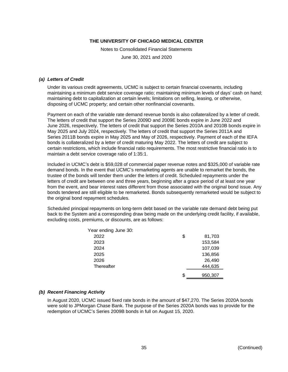Notes to Consolidated Financial Statements

June 30, 2021 and 2020

#### *(a) Letters of Credit*

Under its various credit agreements, UCMC is subject to certain financial covenants, including maintaining a minimum debt service coverage ratio; maintaining minimum levels of days' cash on hand; maintaining debt to capitalization at certain levels; limitations on selling, leasing, or otherwise, disposing of UCMC property; and certain other nonfinancial covenants.

Payment on each of the variable rate demand revenue bonds is also collateralized by a letter of credit. The letters of credit that support the Series 2009D and 2009E bonds expire in June 2022 and June 2026, respectively. The letters of credit that support the Series 2010A and 2010B bonds expire in May 2025 and July 2024, respectively. The letters of credit that support the Series 2011A and Series 2011B bonds expire in May 2025 and May of 2026, respectively. Payment of each of the IEFA bonds is collateralized by a letter of credit maturing May 2022. The letters of credit are subject to certain restrictions, which include financial ratio requirements. The most restrictive financial ratio is to maintain a debt service coverage ratio of 1:35:1.

Included in UCMC's debt is \$59,028 of commercial paper revenue notes and \$325,000 of variable rate demand bonds. In the event that UCMC's remarketing agents are unable to remarket the bonds, the trustee of the bonds will tender them under the letters of credit. Scheduled repayments under the letters of credit are between one and three years, beginning after a grace period of at least one year from the event, and bear interest rates different from those associated with the original bond issue. Any bonds tendered are still eligible to be remarketed. Bonds subsequently remarketed would be subject to the original bond repayment schedules.

Scheduled principal repayments on long-term debt based on the variable rate demand debt being put back to the System and a corresponding draw being made on the underlying credit facility, if available, excluding costs, premiums, or discounts, are as follows:

| Year ending June 30: |    |         |
|----------------------|----|---------|
| 2022                 | \$ | 81,703  |
| 2023                 |    | 153,584 |
| 2024                 |    | 107,039 |
| 2025                 |    | 136,856 |
| 2026                 |    | 26,490  |
| Thereafter           |    | 444,635 |
|                      | S  | 950,307 |
|                      |    |         |

#### *(b) Recent Financing Activity*

In August 2020, UCMC issued fixed rate bonds in the amount of \$47,270. The Series 2020A bonds were sold to JPMorgan Chase Bank. The purpose of the Series 2020A bonds was to provide for the redemption of UCMC's Series 2009B bonds in full on August 15, 2020.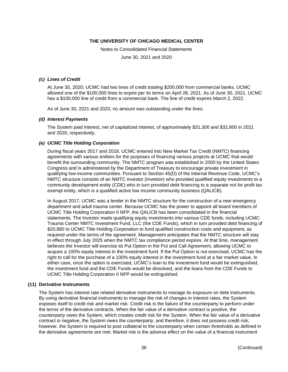Notes to Consolidated Financial Statements

June 30, 2021 and 2020

#### *(c) Lines of Credit*

At June 30, 2020, UCMC had two lines of credit totaling \$200,000 from commercial banks. UCMC allowed one of the \$100,000 lines to expire per its terms on April 28, 2021. As of June 30, 2021, UCMC has a \$100,000 line of credit from a commercial bank. The line of credit expires March 2, 2022.

As of June 30, 2021 and 2020, no amount was outstanding under the lines.

#### *(d) Interest Payments*

The System paid interest, net of capitalized interest, of approximately \$31,300 and \$32,800 in 2021 and 2020, respectively.

#### *(e) UCMC Title Holding Corporation*

During fiscal years 2017 and 2018, UCMC entered into New Market Tax Credit (NMTC) financing agreements with various entities for the purposes of financing various projects at UCMC that would benefit the surrounding community. The NMTC program was established in 2000 by the United States Congress and is administered by the Department of Treasury to encourage private investment in qualifying low-income communities. Pursuant to Section 45(D) of the Internal Revenue Code, UCMC's NMTC structure consists of an NMTC investor (Investor) who provided qualified equity investments to a community development entity (CDE) who in turn provided debt financing to a separate not for profit tax exempt entity, which is a qualified active low income community business (QALICB).

In August 2017, UCMC was a lender in the NMTC structure for the construction of a new emergency department and adult trauma center. Because UCMC has the power to appoint all board members of UCMC Title Holding Corporation II NFP, the QALICB has been consolidated in the financial statements. The Investor made qualifying equity investments into various CDE funds, including UCMC Trauma Center NMTC Investment Fund, LLC (the CDE Funds), which in turn provided debt financing of \$20,880 to UCMC Title Holding Corporation to fund qualified construction costs and equipment, as required under the terms of the agreement. Management anticipates that the NMTC structure will stay in effect through July 2025 when the NMTC tax compliance period expires. At that time, management believes the Investor will exercise its Put Option in the Put and Call Agreement, allowing UCMC to acquire a 100% equity interest in the investment fund. If the Put Option is not exercised, UCMC has the right to call for the purchase of a 100% equity interest in the investment fund at a fair market value. In either case, once the option is exercised, UCMC's loan to the investment fund would be extinguished, the investment fund and the CDE Funds would be dissolved, and the loans from the CDE Funds to UCMC Title Holding Corporation II NFP would be extinguished.

#### **(11) Derivative Instruments**

The System has interest rate related derivative instruments to manage its exposure on debt instruments. By using derivative financial instruments to manage the risk of changes in interest rates, the System exposes itself to credit risk and market risk. Credit risk is the failure of the counterparty to perform under the terms of the derivative contracts. When the fair value of a derivative contract is positive, the counterparty owes the System, which creates credit risk for the System. When the fair value of a derivative contract is negative, the System owes the counterparty, and therefore, it does not possess credit risk; however, the System is required to post collateral to the counterparty when certain thresholds as defined in the derivative agreements are met. Market risk is the adverse effect on the value of a financial instrument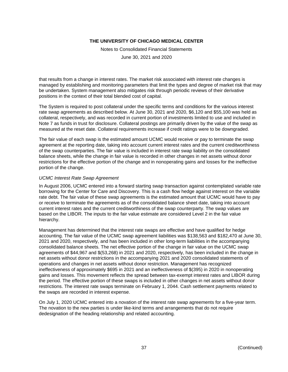Notes to Consolidated Financial Statements

June 30, 2021 and 2020

that results from a change in interest rates. The market risk associated with interest rate changes is managed by establishing and monitoring parameters that limit the types and degree of market risk that may be undertaken. System management also mitigates risk through periodic reviews of their derivative positions in the context of their total blended cost of capital.

The System is required to post collateral under the specific terms and conditions for the various interest rate swap agreements as described below. At June 30, 2021 and 2020, \$6,120 and \$55,100 was held as collateral, respectively, and was recorded in current portion of investments limited to use and included in Note 7 as funds in trust for disclosure. Collateral postings are primarily driven by the value of the swap as measured at the reset date. Collateral requirements increase if credit ratings were to be downgraded.

The fair value of each swap is the estimated amount UCMC would receive or pay to terminate the swap agreement at the reporting date, taking into account current interest rates and the current creditworthiness of the swap counterparties. The fair value is included in interest rate swap liability on the consolidated balance sheets, while the change in fair value is recorded in other changes in net assets without donor restrictions for the effective portion of the change and in nonoperating gains and losses for the ineffective portion of the change.

# *UCMC Interest Rate Swap Agreement*

In August 2006, UCMC entered into a forward starting swap transaction against contemplated variable rate borrowing for the Center for Care and Discovery. This is a cash flow hedge against interest on the variable rate debt. The fair value of these swap agreements is the estimated amount that UCMC would have to pay or receive to terminate the agreements as of the consolidated balance sheet date, taking into account current interest rates and the current creditworthiness of the swap counterparty. The swap values are based on the LIBOR. The inputs to the fair value estimate are considered Level 2 in the fair value hierarchy.

Management has determined that the interest rate swaps are effective and have qualified for hedge accounting. The fair value of the UCMC swap agreement liabilities was \$138,563 and \$182,470 at June 30, 2021 and 2020, respectively, and has been included in other long-term liabilities in the accompanying consolidated balance sheets. The net effective portion of the change in fair value on the UCMC swap agreements of \$44,967 and \$(53,268) in 2021 and 2020, respectively, has been included in the change in net assets without donor restrictions in the accompanying 2021 and 2020 consolidated statements of operations and changes in net assets without donor restriction. Management has recognized ineffectiveness of approximately \$695 in 2021 and an ineffectiveness of \$(395) in 2020 in nonoperating gains and losses. This movement reflects the spread between tax-exempt interest rates and LIBOR during the period. The effective portion of these swaps is included in other changes in net assets without donor restrictions. The interest rate swaps terminate on February 1, 2044. Cash settlement payments related to the swaps are recorded in interest expense.

On July 1, 2020 UCMC entered into a novation of the interest rate swap agreements for a five-year term. The novation to the new parties is under like-kind terms and arrangements that do not require dedesignation of the heading relationship and related accounting.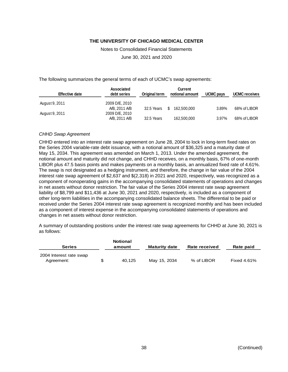Notes to Consolidated Financial Statements

June 30, 2021 and 2020

The following summarizes the general terms of each of UCMC's swap agreements:

| <b>Effective date</b> | <b>Associated</b><br>debt series | Original term | <b>Current</b><br>notional amount | UCMC pays | <b>UCMC</b> receives |
|-----------------------|----------------------------------|---------------|-----------------------------------|-----------|----------------------|
| August 9, 2011        | 2009 D/E, 2010                   |               |                                   |           |                      |
|                       | A/B, 2011 A/B                    | 32.5 Years    | -S<br>162.500.000                 | 3.89%     | 68% of LIBOR         |
| August 9, 2011        | 2009 D/E, 2010                   |               |                                   |           |                      |
|                       | A/B, 2011 A/B                    | 32.5 Years    | 162,500,000                       | 3.97%     | 68% of LIBOR         |

#### *CHHD Swap Agreement*

CHHD entered into an interest rate swap agreement on June 28, 2004 to lock in long-term fixed rates on the Series 2004 variable-rate debt issuance, with a notional amount of \$36,325 and a maturity date of May 15, 2034. This agreement was amended on March 1, 2013. Under the amended agreement, the notional amount and maturity did not change, and CHHD receives, on a monthly basis, 67% of one-month LIBOR plus 47.5 basis points and makes payments on a monthly basis, an annualized fixed rate of 4.61%. The swap is not designated as a hedging instrument, and therefore, the change in fair value of the 2004 interest rate swap agreement of \$2,637 and \$(2,318) in 2021 and 2020, respectively, was recognized as a component of nonoperating gains in the accompanying consolidated statements of operations and changes in net assets without donor restriction. The fair value of the Series 2004 interest rate swap agreement liability of \$8,799 and \$11,436 at June 30, 2021 and 2020, respectively, is included as a component of other long-term liabilities in the accompanying consolidated balance sheets. The differential to be paid or received under the Series 2004 interest rate swap agreement is recognized monthly and has been included as a component of interest expense in the accompanying consolidated statements of operations and changes in net assets without donor restriction.

A summary of outstanding positions under the interest rate swap agreements for CHHD at June 30, 2021 is as follows:

| <b>Series</b>                         | <b>Notional</b><br>amount | <b>Maturity date</b> | Rate received | Rate paid          |
|---------------------------------------|---------------------------|----------------------|---------------|--------------------|
| 2004 Interest rate swap<br>Agreement: | 40.125                    | May 15, 2034         | % of LIBOR    | <b>Fixed 4.61%</b> |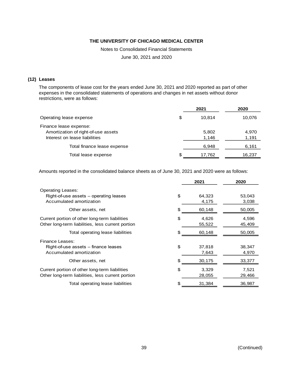Notes to Consolidated Financial Statements

June 30, 2021 and 2020

#### **(12) Leases**

The components of lease cost for the years ended June 30, 2021 and 2020 reported as part of other expenses in the consolidated statements of operations and changes in net assets without donor restrictions, were as follows:

|    | 2021           | 2020           |
|----|----------------|----------------|
| \$ | 10.814         | 10,076         |
|    | 5,802<br>1,146 | 4,970<br>1,191 |
|    | 6,948          | 6,161          |
| S. | 17,762         | 16,237         |
|    |                |                |

Amounts reported in the consolidated balance sheets as of June 30, 2021 and 2020 were as follows:

|                                                                                                     |     | 2021            | 2020            |
|-----------------------------------------------------------------------------------------------------|-----|-----------------|-----------------|
| <b>Operating Leases:</b><br>Right-of-use assets - operating leases<br>Accumulated amortization      | \$  | 64,323<br>4,175 | 53,043<br>3,038 |
| Other assets, net                                                                                   | \$. | 60,148          | 50,005          |
| Current portion of other long-term liabilities<br>Other long-term liabilities, less current portion | \$  | 4,626<br>55,522 | 4,596<br>45,409 |
| Total operating lease liabilities                                                                   | \$. | 60,148          | 50,005          |
| <b>Finance Leases:</b><br>Right-of-use assets – finance leases<br>Accumulated amortization          | \$  | 37,818<br>7,643 | 38,347<br>4,970 |
| Other assets, net                                                                                   |     | 30,175          | 33,377          |
| Current portion of other long-term liabilities<br>Other long-term liabilities, less current portion | \$  | 3,329<br>28,055 | 7,521<br>29,466 |
| Total operating lease liabilities                                                                   | \$  | 31,384          | 36,987          |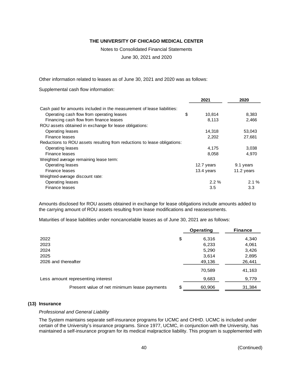Notes to Consolidated Financial Statements

June 30, 2021 and 2020

Other information related to leases as of June 30, 2021 and 2020 was as follows:

Supplemental cash flow information:

|                                                                          | 2021         | 2020       |
|--------------------------------------------------------------------------|--------------|------------|
| Cash paid for amounts included in the measurement of lease liabilities:  |              |            |
| Operating cash flow from operating leases                                | \$<br>10,814 | 8,383      |
| Financing cash flow from finance leases                                  | 8,113        | 2,466      |
| ROU assets obtained in exchange for lease obligations:                   |              |            |
| <b>Operating leases</b>                                                  | 14,318       | 53,043     |
| Finance leases                                                           | 2.202        | 27.681     |
| Reductions to ROU assets resulting from reductions to lease obligations: |              |            |
| <b>Operating leases</b>                                                  | 4,175        | 3,038      |
| Finance leases                                                           | 8,058        | 4,970      |
| Weighted average remaining lease term:                                   |              |            |
| Operating leases                                                         | 12.7 years   | 9.1 years  |
| Finance leases                                                           | 13.4 years   | 11.2 years |
| Weighted-average discount rate:                                          |              |            |
| Operating leases                                                         | $2.2\%$      | $2.1\%$    |
| <b>Finance leases</b>                                                    | 3.5          | 3.3        |

Amounts disclosed for ROU assets obtained in exchange for lease obligations include amounts added to the carrying amount of ROU assets resulting from lease modifications and reassessments.

Maturities of lease liabilities under noncancelable leases as of June 30, 2021 are as follows:

|                                             | <b>Operating</b> | <b>Finance</b> |
|---------------------------------------------|------------------|----------------|
| 2022                                        | \$<br>6,316      | 4,340          |
| 2023                                        | 6,233            | 4,061          |
| 2024                                        | 5,290            | 3,426          |
| 2025                                        | 3,614            | 2,895          |
| 2026 and thereafter                         | 49,136           | 26,441         |
|                                             | 70,589           | 41,163         |
| Less amount representing interest           | 9,683            | 9,779          |
| Present value of net minimum lease payments | 60,906           | 31,384         |

#### **(13) Insurance**

#### *Professional and General Liability*

The System maintains separate self-insurance programs for UCMC and CHHD. UCMC is included under certain of the University's insurance programs. Since 1977, UCMC, in conjunction with the University, has maintained a self-insurance program for its medical malpractice liability. This program is supplemented with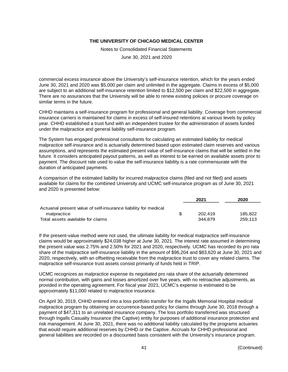Notes to Consolidated Financial Statements

June 30, 2021 and 2020

commercial excess insurance above the University's self-insurance retention, which for the years ended June 30, 2021 and 2020 was \$5,000 per claim and unlimited in the aggregate. Claims in excess of \$5,000 are subject to an additional self-insurance retention limited to \$12,500 per claim and \$22,500 in aggregate. There are no assurances that the University will be able to renew existing policies or procure coverage on similar terms in the future.

CHHD maintains a self-insurance program for professional and general liability. Coverage from commercial insurance carriers is maintained for claims in excess of self-insured retentions at various levels by policy year. CHHD established a trust fund with an independent trustee for the administration of assets funded under the malpractice and general liability self-insurance program.

The System has engaged professional consultants for calculating an estimated liability for medical malpractice self-insurance and is actuarially determined based upon estimated claim reserves and various assumptions, and represents the estimated present value of self-insurance claims that will be settled in the future. It considers anticipated payout patterns, as well as interest to be earned on available assets prior to payment. The discount rate used to value the self-insurance liability is a rate commensurate with the duration of anticipated payments.

A comparison of the estimated liability for incurred malpractice claims (filed and not filed) and assets available for claims for the combined University and UCMC self-insurance program as of June 30, 2021 and 2020 is presented below:

|                                                                 | 2021    | 2020    |
|-----------------------------------------------------------------|---------|---------|
| Actuarial present value of self-insurance liability for medical |         |         |
| malpractice                                                     | 202.419 | 185.822 |
| Total assets available for claims                               | 344.879 | 259.113 |

If the present-value method were not used, the ultimate liability for medical malpractice self-insurance claims would be approximately \$24,038 higher at June 30, 2021. The interest rate assumed in determining the present value was 2.75% and 2.50% for 2021 and 2020, respectively. UCMC has recorded its pro rata share of the malpractice self-insurance liability in the amount of \$96,204 and \$83,620 at June 30, 2021 and 2020, respectively, with an offsetting receivable from the malpractice trust to cover any related claims. The malpractice self-insurance trust assets consist primarily of funds held in TRIP.

UCMC recognizes as malpractice expense its negotiated pro rata share of the actuarially determined normal contribution, with gains and losses amortized over five years, with no retroactive adjustments, as provided in the operating agreement. For fiscal year 2021, UCMC's expense is estimated to be approximately \$11,000 related to malpractice insurance.

On April 30, 2019, CHHD entered into a loss portfolio transfer for the Ingalls Memorial Hospital medical malpractice program by obtaining an occurrence-based policy for claims through June 30, 2018 through a payment of \$47,311 to an unrelated insurance company. The loss portfolio transferred was structured through Ingalls Casualty Insurance (the Captive) entity for purposes of additional insurance protection and risk management. At June 30, 2021, there was no additional liability calculated by the programs actuaries that would require additional reserves by CHHD or the Captive. Accruals for CHHD professional and general liabilities are recorded on a discounted basis consistent with the University's insurance program.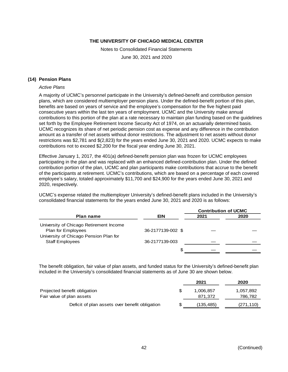Notes to Consolidated Financial Statements

June 30, 2021 and 2020

# **(14) Pension Plans**

#### *Active Plans*

A majority of UCMC's personnel participate in the University's defined-benefit and contribution pension plans, which are considered multiemployer pension plans. Under the defined-benefit portion of this plan, benefits are based on years of service and the employee's compensation for the five highest paid consecutive years within the last ten years of employment. UCMC and the University make annual contributions to this portion of the plan at a rate necessary to maintain plan funding based on the guidelines set forth by the Employee Retirement Income Security Act of 1974, on an actuarially determined basis. UCMC recognizes its share of net periodic pension cost as expense and any difference in the contribution amount as a transfer of net assets without donor restrictions. The adjustment to net assets without donor restrictions was \$2,781 and \$(2,823) for the years ended June 30, 2021 and 2020. UCMC expects to make contributions not to exceed \$2,200 for the fiscal year ending June 30, 2021.

Effective January 1, 2017, the 401(a) defined-benefit pension plan was frozen for UCMC employees participating in the plan and was replaced with an enhanced defined-contribution plan. Under the defined contribution portion of the plan, UCMC and plan participants make contributions that accrue to the benefit of the participants at retirement. UCMC's contributions, which are based on a percentage of each covered employee's salary, totaled approximately \$11,700 and \$24,900 for the years ended June 30, 2021 and 2020, respectively.

UCMC's expense related the multiemployer University's defined-benefit plans included in the University's consolidated financial statements for the years ended June 30, 2021 and 2020 is as follows:

|                                         |                   | <b>Contribution of UCMC</b> |      |
|-----------------------------------------|-------------------|-----------------------------|------|
| <b>Plan name</b>                        | <b>EIN</b>        | 2021                        | 2020 |
| University of Chicago Retirement Income |                   |                             |      |
| Plan for Employees                      | 36-2177139-002 \$ |                             |      |
| University of Chicago Pension Plan for  |                   |                             |      |
| <b>Staff Employees</b>                  | 36-2177139-003    |                             |      |
|                                         | S                 |                             |      |

The benefit obligation, fair value of plan assets, and funded status for the University's defined-benefit plan included in the University's consolidated financial statements as of June 30 are shown below.

|                                                | 2021       | 2020       |
|------------------------------------------------|------------|------------|
| Projected benefit obligation                   | 1.006.857  | 1,057,892  |
| Fair value of plan assets                      | 871.372    | 786,782    |
| Deficit of plan assets over benefit obligation | (135, 485) | (271, 110) |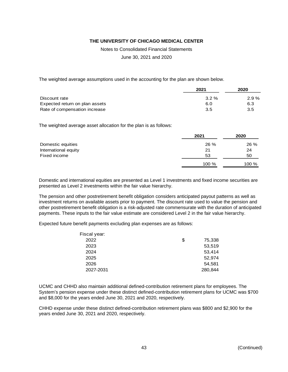Notes to Consolidated Financial Statements

June 30, 2021 and 2020

The weighted average assumptions used in the accounting for the plan are shown below.

|                                | 2021     | 2020     |
|--------------------------------|----------|----------|
| Discount rate                  | $3.2 \%$ | $2.9 \%$ |
| Expected return on plan assets | 6.0      | 6.3      |
| Rate of compensation increase  | 3.5      | 3.5      |

The weighted average asset allocation for the plan is as follows:

|                      | 2021  | 2020  |
|----------------------|-------|-------|
| Domestic equities    | 26 %  | 26 %  |
| International equity | 21    | 24    |
| Fixed income         | 53    | 50    |
|                      | 100 % | 100 % |

Domestic and international equities are presented as Level 1 investments and fixed income securities are presented as Level 2 investments within the fair value hierarchy.

The pension and other postretirement benefit obligation considers anticipated payout patterns as well as investment returns on available assets prior to payment. The discount rate used to value the pension and other postretirement benefit obligation is a risk-adjusted rate commensurate with the duration of anticipated payments. These inputs to the fair value estimate are considered Level 2 in the fair value hierarchy.

Expected future benefit payments excluding plan expenses are as follows:

| Fiscal year: |              |
|--------------|--------------|
| 2022         | \$<br>75,338 |
| 2023         | 53,519       |
| 2024         | 53,414       |
| 2025         | 52,974       |
| 2026         | 54,581       |
| 2027-2031    | 280,844      |
|              |              |

UCMC and CHHD also maintain additional defined-contribution retirement plans for employees. The System's pension expense under these distinct defined-contribution retirement plans for UCMC was \$700 and \$8,000 for the years ended June 30, 2021 and 2020, respectively.

CHHD expense under these distinct defined-contribution retirement plans was \$800 and \$2,900 for the years ended June 30, 2021 and 2020, respectively.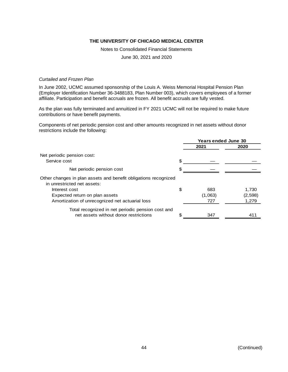Notes to Consolidated Financial Statements

June 30, 2021 and 2020

#### *Curtailed and Frozen Plan*

In June 2002, UCMC assumed sponsorship of the Louis A. Weiss Memorial Hospital Pension Plan (Employer Identification Number 36-3488183, Plan Number 003), which covers employees of a former affiliate. Participation and benefit accruals are frozen. All benefit accruals are fully vested.

As the plan was fully terminated and annuitized in FY 2021 UCMC will not be required to make future contributions or have benefit payments.

Components of net periodic pension cost and other amounts recognized in net assets without donor restrictions include the following:

|                                                                                                | <b>Years ended June 30</b> |         |
|------------------------------------------------------------------------------------------------|----------------------------|---------|
|                                                                                                | 2021                       | 2020    |
| Net periodic pension cost:                                                                     |                            |         |
| Service cost                                                                                   | \$                         |         |
| Net periodic pension cost                                                                      |                            |         |
| Other changes in plan assets and benefit obligations recognized<br>in unrestricted net assets: |                            |         |
| Interest cost                                                                                  | \$<br>683                  | 1.730   |
| Expected return on plan assets                                                                 | (1,063)                    | (2,598) |
| Amortization of unrecognized net actuarial loss                                                | 727                        | 1,279   |
| Total recognized in net periodic pension cost and                                              |                            |         |
| net assets without donor restrictions                                                          | 347                        | 411     |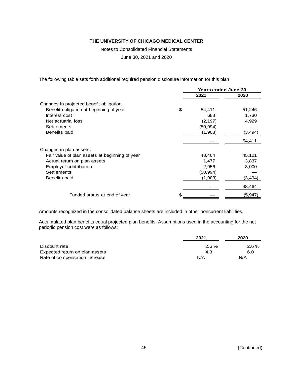Notes to Consolidated Financial Statements

June 30, 2021 and 2020

The following table sets forth additional required pension disclosure information for this plan:

|                                                |    | <b>Years ended June 30</b> |          |
|------------------------------------------------|----|----------------------------|----------|
|                                                |    | 2021                       | 2020     |
| Changes in projected benefit obligation:       |    |                            |          |
| Benefit obligation at beginning of year        | \$ | 54,411                     | 51,246   |
| Interest cost                                  |    | 683                        | 1,730    |
| Net actuarial loss                             |    | (2, 197)                   | 4,929    |
| Settlements                                    |    | (50, 994)                  |          |
| Benefits paid                                  |    | (1,903)                    | (3, 494) |
|                                                |    |                            | 54,411   |
| Changes in plan assets:                        |    |                            |          |
| Fair value of plan assets at beginning of year |    | 48,464                     | 45,121   |
| Actual return on plan assets                   |    | 1,477                      | 3,837    |
| <b>Employer contribution</b>                   |    | 2,956                      | 3,000    |
| <b>Settlements</b>                             |    | (50, 994)                  |          |
| Benefits paid                                  |    | (1,903)                    | (3, 494) |
|                                                |    |                            | 48,464   |
| Funded status at end of year                   | S  |                            | (5,947)  |

Amounts recognized in the consolidated balance sheets are included in other noncurrent liabilities.

Accumulated plan benefits equal projected plan benefits. Assumptions used in the accounting for the net periodic pension cost were as follows:

|                                | 2021     | 2020     |
|--------------------------------|----------|----------|
| Discount rate                  | $2.6 \%$ | $2.6 \%$ |
| Expected return on plan assets | 4.3      | 6.0      |
| Rate of compensation increase  | N/A      | N/A      |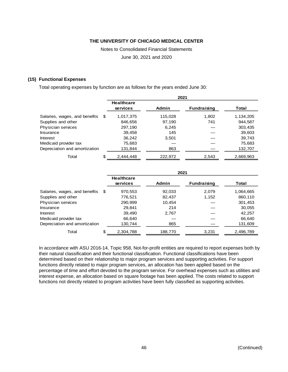Notes to Consolidated Financial Statements

June 30, 2021 and 2020

#### **(15) Functional Expenses**

Total operating expenses by function are as follows for the years ended June 30:

|                               |      |                               | 2021         |                    |           |
|-------------------------------|------|-------------------------------|--------------|--------------------|-----------|
|                               |      | <b>Healthcare</b><br>services | <b>Admin</b> | <b>Fundraising</b> | Total     |
| Salaries, wages, and benefits | - \$ | 1,017,375                     | 115,028      | 1,802              | 1,134,205 |
| Supplies and other            |      | 846,656                       | 97,190       | 741                | 944,587   |
| Physician services            |      | 297,190                       | 6,245        |                    | 303,435   |
| Insurance                     |      | 39,458                        | 145          |                    | 39,603    |
| Interest                      |      | 36.242                        | 3,501        |                    | 39,743    |
| Medicaid provider tax         |      | 75,683                        |              |                    | 75,683    |
| Depreciation and amortization |      | 131,844                       | 863          |                    | 132,707   |
| Total                         | \$   | 2.444.448                     | 222.972      | 2,543              | 2.669.963 |

|                               |      |                               | 2021    |                    |           |
|-------------------------------|------|-------------------------------|---------|--------------------|-----------|
|                               |      | <b>Healthcare</b><br>services | Admin   | <b>Fundraising</b> | Total     |
| Salaries, wages, and benefits | - \$ | 970,553                       | 92,033  | 2,079              | 1,064,665 |
| Supplies and other            |      | 776,521                       | 82,437  | 1,152              | 860,110   |
| Physician services            |      | 290,999                       | 10.454  |                    | 301,453   |
| Insurance                     |      | 29.841                        | 214     |                    | 30,055    |
| Interest                      |      | 39.490                        | 2,767   |                    | 42,257    |
| Medicaid provider tax         |      | 66.640                        |         |                    | 66,640    |
| Depreciation and amortization |      | 130,744                       | 865     |                    | 131,609   |
| Total                         | \$   | 2,304,788                     | 188,770 | 3,231              | 2,496,789 |

In accordance with ASU 2016-14, Topic 958, Not-for-profit entities are required to report expenses both by their natural classification and their functional classification. Functional classifications have been determined based on their relationship to major program services and supporting activities. For support functions directly related to major program services, an allocation has been applied based on the percentage of time and effort devoted to the program service. For overhead expenses such as utilities and interest expense, an allocation based on square footage has been applied. The costs related to support functions not directly related to program activities have been fully classified as supporting activities.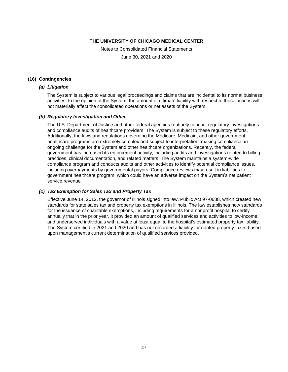Notes to Consolidated Financial Statements

June 30, 2021 and 2020

#### **(16) Contingencies**

# *(a) Litigation*

The System is subject to various legal proceedings and claims that are incidental to its normal business activities. In the opinion of the System, the amount of ultimate liability with respect to these actions will not materially affect the consolidated operations or net assets of the System.

#### *(b) Regulatory Investigation and Other*

The U.S. Department of Justice and other federal agencies routinely conduct regulatory investigations and compliance audits of healthcare providers. The System is subject to these regulatory efforts. Additionally, the laws and regulations governing the Medicare, Medicaid, and other government healthcare programs are extremely complex and subject to interpretation, making compliance an ongoing challenge for the System and other healthcare organizations. Recently, the federal government has increased its enforcement activity, including audits and investigations related to billing practices, clinical documentation, and related matters. The System maintains a system-wide compliance program and conducts audits and other activities to identify potential compliance issues, including overpayments by governmental payors. Compliance reviews may result in liabilities to government healthcare program, which could have an adverse impact on the System's net patient service revenue.

# *(c) Tax Exemption for Sales Tax and Property Tax*

Effective June 14, 2012, the governor of Illinois signed into law, Public Act 97-0688, which created new standards for state sales tax and property tax exemptions in Illinois. The law establishes new standards for the issuance of charitable exemptions, including requirements for a nonprofit hospital to certify annually that in the prior year, it provided an amount of qualified services and activities to low-income and underserved individuals with a value at least equal to the hospital's estimated property tax liability. The System certified in 2021 and 2020 and has not recorded a liability for related property taxes based upon management's current determination of qualified services provided.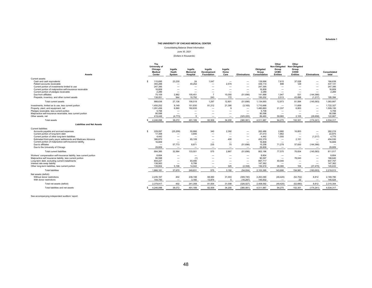Consolidating Balance Sheet Information

June 30, 2021

(Dollars in thousands)

| <b>Assets</b>                                                                                                                                                                                                                                                                                                         | The<br>University of<br>Chicago<br><b>Medical</b><br>Center                           | Ingalls<br>Heath<br>System                                                                                                                                      | Ingalls<br><b>Memorial</b><br>Hospital                                                                                 | <b>Ingalls</b><br><b>Development</b><br>Foundation | Ingalls<br>Home<br>Care                                                                       | <b>Eliminations</b>                            | <b>Obligated</b><br>Group<br>Consolidation                             | Other<br>Non-Obligated Non-Obligated<br>Group<br><b>UCMC</b><br><b>Entities</b>                                              | Other<br>Group<br>CHHD<br><b>Entities</b>                                                                     | <b>Eliminations</b>                                                                                                                    | Consolidated<br>total                                          |
|-----------------------------------------------------------------------------------------------------------------------------------------------------------------------------------------------------------------------------------------------------------------------------------------------------------------------|---------------------------------------------------------------------------------------|-----------------------------------------------------------------------------------------------------------------------------------------------------------------|------------------------------------------------------------------------------------------------------------------------|----------------------------------------------------|-----------------------------------------------------------------------------------------------|------------------------------------------------|------------------------------------------------------------------------|------------------------------------------------------------------------------------------------------------------------------|---------------------------------------------------------------------------------------------------------------|----------------------------------------------------------------------------------------------------------------------------------------|----------------------------------------------------------------|
|                                                                                                                                                                                                                                                                                                                       |                                                                                       |                                                                                                                                                                 |                                                                                                                        |                                                    |                                                                                               |                                                |                                                                        |                                                                                                                              |                                                                                                               |                                                                                                                                        |                                                                |
| Current assets:<br>Cash and cash equivalents<br>S<br>Patient accounts receivable<br>Current portion of investments limited to use<br>Current portion of malpractice self-insurance receivable<br>Current portion of pledges receivable<br>Due from affiliates<br>Prepaids, inventory, and other current assets        | 115.695<br>393.288<br>247.395<br>16,809<br>2,289<br>75,109<br>138.051                 | 23.230<br>$\overline{\phantom{m}}$<br>$\overline{\phantom{m}}$<br>2,962<br>944                                                                                  | 24<br>40.252<br>$\overline{\phantom{0}}$<br>$\overline{\phantom{m}}$<br>105,451<br>10,792                              | 1,047<br>$\overline{7}$<br>243                     | -<br>2,574<br>-<br>-<br>$\qquad \qquad$<br>10,055<br>172                                      | -<br>-<br>(51,696)<br>$\overline{\phantom{m}}$ | 139,996<br>436.114<br>247.395<br>16,809<br>2,289<br>141,888<br>150,202 | 7.615<br>898<br>$\hspace{0.1mm}-\hspace{0.1mm}$<br>1,947<br>2.513                                                            | 37.028<br>129<br>-<br>$\overline{\phantom{m}}$<br>531<br>43.896                                               | (144, 366)<br>(1.217)                                                                                                                  | 184,639<br>437.141<br>247,395<br>16,809<br>2,289<br>195,394    |
| Total current assets                                                                                                                                                                                                                                                                                                  | 988.636                                                                               | 27,136                                                                                                                                                          | 156.519                                                                                                                | 1,297                                              | 12,801                                                                                        | (51,696)                                       | 1,134,693                                                              | 12,973                                                                                                                       | 81.584                                                                                                        | (145, 583)                                                                                                                             | 1,083,667                                                      |
| Investments, limited as to use, less current portion<br>Property, plant, and equipment, net<br>Pledges receivable, less current portion<br>Malpractice self-insurance receivable, less current portion<br>Other assets, net                                                                                           | 1.450.252<br>1.291.456<br>5,708<br>90,598<br>419.448                                  | 9.149<br>6.560<br>$\overline{\phantom{m}}$<br>(4.773)                                                                                                           | 151.830<br>182.835<br>$\overline{\phantom{a}}$<br>$\overline{\phantom{0}}$<br>5                                        | 81.212                                             | 21.390<br>9<br>$\qquad \qquad$                                                                | (3, 165)<br>(325.220)                          | 1,710,668<br>1,480,860<br>5,708<br>90,598<br>89.460                    | $\hspace{0.1mm}-\hspace{0.1mm}$<br>21.337<br>$\overline{\phantom{0}}$<br>59.960                                              | 11.659<br>6.953<br>2.105                                                                                      | $\overline{\phantom{a}}$<br>$\overline{\phantom{a}}$<br>(28.658)                                                                       | 1.722.327<br>1.509.150<br>5,708<br>90,598<br>122.867           |
| Total assets                                                                                                                                                                                                                                                                                                          | 4,246,098                                                                             | 38,072                                                                                                                                                          | 491,189                                                                                                                | 82,509                                             | 34,200                                                                                        | (380, 081)                                     | 4,511,987                                                              | 94,270                                                                                                                       | 102,301                                                                                                       | (174, 241)                                                                                                                             | 4,534,317                                                      |
| <b>Liabilities and Net Assets</b>                                                                                                                                                                                                                                                                                     |                                                                                       |                                                                                                                                                                 |                                                                                                                        |                                                    |                                                                                               |                                                |                                                                        |                                                                                                                              |                                                                                                               |                                                                                                                                        |                                                                |
| Current liabilities:                                                                                                                                                                                                                                                                                                  |                                                                                       |                                                                                                                                                                 |                                                                                                                        |                                                    |                                                                                               |                                                |                                                                        |                                                                                                                              |                                                                                                               |                                                                                                                                        |                                                                |
| Accounts payable and accrued expenses<br>S<br>Current portion of long-term debt<br>Current portion of other long-term liabilities<br>Estimated third-party payor settlements and Medicare Advance<br>Current portion of malpractice self-insurance liability<br>Due to affiliates<br>Due to the University of Chicago | 229,097<br>17.358<br>4.442<br>386,870<br>16,809<br>$\overline{\phantom{a}}$<br>29,809 | (25, 209)<br>$\overline{\phantom{m}}$<br>$\overline{\phantom{m}}$<br>$\overline{\phantom{m}}$<br>$\overline{\phantom{0}}$<br>57,773<br>$\overline{\phantom{m}}$ | 55.866<br>3.655<br>$\overline{\phantom{m}}$<br>65.109<br>$\overline{\phantom{0}}$<br>8.871<br>$\overline{\phantom{0}}$ | 340<br>235<br>$\qquad \qquad$                      | 2,392<br>$\overline{\phantom{m}}$<br>400<br>$\overline{\phantom{m}}$<br>75<br>$\qquad \qquad$ | -<br>$\overline{\phantom{m}}$<br>(51,696)      | 262,486<br>21,013<br>4,442<br>452,379<br>16.809<br>15,258<br>29,809    | 2,880<br>1.862<br>1,550<br>$\overline{\phantom{0}}$<br>$\overline{\phantom{a}}$<br>71,278<br>$\hspace{0.1mm}-\hspace{0.1mm}$ | 16,853<br>$\overline{\phantom{0}}$<br>$\overline{\phantom{m}}$<br>2,151<br>57,830<br>$\overline{\phantom{m}}$ | $\overline{\phantom{a}}$<br>(1, 217)<br>$\overline{\phantom{m}}$<br>$\overline{\phantom{0}}$<br>(144, 366)<br>$\overline{\phantom{m}}$ | 282,219<br>22,875<br>4,775<br>454,530<br>16,809<br>-<br>29,809 |
| Total current liabilities                                                                                                                                                                                                                                                                                             | 684,385                                                                               | 32,564                                                                                                                                                          | 133,501                                                                                                                | 575                                                | 2,867                                                                                         | (51,696)                                       | 802,196                                                                | 77,570                                                                                                                       | 76,834                                                                                                        | (145, 583)                                                                                                                             | 811,017                                                        |
| Workers' compensation self-insurance liability, less current portion<br>Malpractice self insurance liability, less current portion<br>Long-term debt, excluding current installments<br>Interest rate swap liability<br>Other long-term liabilities, less current portion                                             | 8,604<br>90.598<br>804,227<br>138,563<br>139.804                                      | $\overline{\phantom{m}}$<br>$\overline{\phantom{m}}$<br>5,106                                                                                                   | $\overline{\phantom{m}}$<br>(1)<br>93.490<br>8,799<br>14,042                                                           | $\overline{\phantom{a}}$<br>$\qquad \qquad$        | -<br>325                                                                                      | $\overline{\phantom{m}}$<br>(2,358)            | 8,604<br>90.597<br>897,717<br>147,362<br>156,919                       | $\overline{\phantom{0}}$<br>40,040<br>26,080                                                                                 | 78.043<br>104                                                                                                 | $\overline{\phantom{0}}$<br>(37, 470)                                                                                                  | 8,604<br>168,640<br>937,757<br>147,362<br>145,633              |
| <b>Total liabilities</b>                                                                                                                                                                                                                                                                                              | 1.866.181                                                                             | 37,670                                                                                                                                                          | 249.831                                                                                                                | 575                                                | 3,192                                                                                         | (54, 054)                                      | 2,103,395                                                              | 143.690                                                                                                                      | 154.981                                                                                                       | (183.053)                                                                                                                              | 2,219,013                                                      |
| Net assets (deficit):<br>Without donor restrictions<br>With donor restrictions                                                                                                                                                                                                                                        | 2.235.167<br>144.750                                                                  | 402<br>$\overline{\phantom{m}}$                                                                                                                                 | 238,198<br>3,160                                                                                                       | 68,060<br>13,874                                   | 31,003<br>5                                                                                   | (309, 740)<br>(16, 287)                        | 2,263,090<br>145.502                                                   | (49, 420)<br>$\overline{\phantom{a}}$                                                                                        | (52, 702)<br>22                                                                                               | 8,812<br>$\overline{\phantom{a}}$                                                                                                      | 2,169,780<br>145.524                                           |
| Total net assets (deficit)                                                                                                                                                                                                                                                                                            | 2.379.917                                                                             | 402                                                                                                                                                             | 241.358                                                                                                                | 81.934                                             | 31,008                                                                                        | (326.027)                                      | 2,408,592                                                              | (49, 420)                                                                                                                    | (52.680)                                                                                                      | 8.812                                                                                                                                  | 2,315,304                                                      |
| Total liabilities and net assets                                                                                                                                                                                                                                                                                      | 4,246,098                                                                             | 38,072                                                                                                                                                          | 491,189                                                                                                                | 82,509                                             | 34,200                                                                                        | (380, 081)                                     | 4,511,987                                                              | 94,270                                                                                                                       | 102,301                                                                                                       | (174, 241)                                                                                                                             | 4,534,317                                                      |

See accompanying independent auditors' report.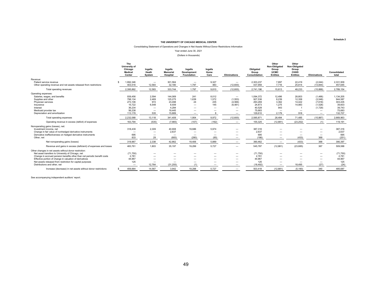#### Consolidating Statement of Operations and Changes in Net Assets Without Donor Restrictions Information

#### Year ended June 30, 2021 (Dollars in thousands)

|                                                                                                                                                                                                                                                                                                                                                 | The<br>University of<br>Chicago<br><b>Medical</b><br>Center     | Ingalls<br>Heath<br>System               | Ingalls<br><b>Memorial</b><br>Hospital               | Ingalls<br>Development<br><b>Foundation</b> | Ingalls<br>Home<br>Care                   | <b>Eliminations</b>                                  | Obligated<br>Group<br>Consolidation              | Other<br>Non-Obligated<br>Group<br><b>UCMC</b><br><b>Entities</b>                | Other<br>Non-Obligated<br>Group<br>CHHD<br><b>Entities</b> | <b>Eliminations</b>           | Consolidated<br>total                       |
|-------------------------------------------------------------------------------------------------------------------------------------------------------------------------------------------------------------------------------------------------------------------------------------------------------------------------------------------------|-----------------------------------------------------------------|------------------------------------------|------------------------------------------------------|---------------------------------------------|-------------------------------------------|------------------------------------------------------|--------------------------------------------------|----------------------------------------------------------------------------------|------------------------------------------------------------|-------------------------------|---------------------------------------------|
| Revenue:                                                                                                                                                                                                                                                                                                                                        |                                                                 |                                          |                                                      |                                             |                                           |                                                      |                                                  |                                                                                  |                                                            |                               |                                             |
| Patient service revenue<br>Other operating revenue and net assets released from restrictions                                                                                                                                                                                                                                                    | 1.992.346<br>403.516                                            | 12.583                                   | 301.564<br>32.180                                    | $\overline{\phantom{m}}$<br>1,797           | 9,327<br>483                              | $\overline{\phantom{m}}$<br>(12,600)                 | 2.303.237<br>437.959                             | 7.897<br>7.716                                                                   | 22,419<br>25,814                                           | (2,044)<br>(13, 844)          | 2,331,509<br>457,645                        |
| Total operating revenues                                                                                                                                                                                                                                                                                                                        | 2.395.862                                                       | 12,583                                   | 333,744                                              | 1.797                                       | 9,810                                     | (12,600)                                             | 2,741,196                                        | 15.613                                                                           | 48,233                                                     | (15, 888)                     | 2,789,154                                   |
| Operating expenses:<br>Salaries, wages, and benefits<br>Supplies and other                                                                                                                                                                                                                                                                      | 939.456<br>798.134                                              | 2,594<br>2.469                           | 144.069<br>125.275                                   | 241<br>1,639                                | 8.012<br>1.572                            | $\qquad \qquad$<br>(1,553)                           | 1.094.372<br>927.536                             | 12.496<br>8.239                                                                  | 28.803<br>12,358                                           | (1,466)<br>(3,546)            | 1,134,205<br>944,587                        |
| Physician services<br>Insurance<br>Interest                                                                                                                                                                                                                                                                                                     | 273.106<br>15.722<br>36,234                                     | 972<br>6,548<br>$\overline{\phantom{m}}$ | 23.498<br>8.939<br>4.294                             | 24<br>$\overline{\phantom{m}}$              | 235<br>145                                | (4, 566)<br>(6, 481)<br>$\overline{\phantom{m}}$     | 293,269<br>24.873<br>40,528                      | 3.362<br>1.275<br>943                                                            | 14.422<br>14,983                                           | (7,618)<br>(1,528)<br>(1,729) | 303,435<br>39,603<br>39,743                 |
| Medicaid provider tax<br>Depreciation and amortization                                                                                                                                                                                                                                                                                          | 56.238<br>113,178                                               | $\overline{\phantom{m}}$<br>535          | 19,445<br>15,889                                     |                                             |                                           | $\overline{\phantom{a}}$<br>$\overline{\phantom{0}}$ | 75,683<br>129,610                                | $\overline{\phantom{m}}$<br>2.179                                                | -<br>918                                                   | $\overline{\phantom{m}}$      | 75,683<br>132.707                           |
| Total operating expenses                                                                                                                                                                                                                                                                                                                        | 2,232,068                                                       | 13,118                                   | 341,409                                              | 1,904                                       | 9,972                                     | (12,600)                                             | 2,585,871                                        | 28,494                                                                           | 71,485                                                     | (15, 887)                     | 2.669.963                                   |
| Operating revenue in excess (deficit) of expenses                                                                                                                                                                                                                                                                                               | 163,794                                                         | (535)                                    | (7,665)                                              | (107)                                       | (162)                                     | $\overline{\phantom{0}}$                             | 155,325                                          | (12, 881)                                                                        | (23, 252)                                                  |                               | 119,191                                     |
| Nonoperating gains (losses), net:<br>Investment income, net<br>Change in fair value of nonhedged derivative instruments<br>Derivative ineffectiveness on hedged derivative instruments<br>Other, net                                                                                                                                            | 318,439<br>$\overline{\phantom{m}}$<br>695<br>833               | 2,309<br>-<br>29                         | 40,908<br>2,637<br>$\overline{\phantom{m}}$<br>(683) | 19,686<br>(280)                             | 5.974<br>$\overline{\phantom{a}}$<br>(85) |                                                      | 387,316<br>2.637<br>695<br>(186)                 | $\overline{\phantom{a}}$<br>$\overline{\phantom{a}}$<br>$\overline{\phantom{a}}$ | –<br>—<br>(433)                                            | 368                           | 387,316<br>2,637<br>695<br>(251)            |
| Net nonoperating gains (losses)                                                                                                                                                                                                                                                                                                                 | 319.967                                                         | 2,338                                    | 42.862                                               | 19,406                                      | 5.889                                     |                                                      | 390.462                                          |                                                                                  | (433)                                                      | 368                           | 390,397                                     |
| Revenue and gains in excess (deficient) of expenses and losses                                                                                                                                                                                                                                                                                  | 483,761                                                         | 1.803                                    | 35,197                                               | 19,299                                      | 5.727                                     | $\overline{\phantom{a}}$                             | 545,787                                          | (12, 881)                                                                        | (23, 685)                                                  | 367                           | 509,588                                     |
| Other changes in net assets without donor restriction:<br>Net asset transfers to University of Chicago, net<br>Change in accrued pension benefits other than net periodic benefit costs<br>Effective portion of change in valuation of derivatives<br>Net assets released from restriction for capital purposes<br>Distributions and other, net | (71, 750)<br>2.781<br>44,967<br>125<br>$\overline{\phantom{0}}$ | –<br>12.764                              | -<br>(31, 255)                                       | (1)                                         |                                           | -                                                    | (71, 750)<br>2.781<br>44.967<br>125<br>(18, 492) | $\overline{\phantom{a}}$                                                         | –<br>$\overline{\phantom{0}}$<br>-<br>18.495               | (27)                          | (71, 750)<br>2,781<br>44,967<br>125<br>(24) |
| Increase (decrease) in net assets without donor restrictions                                                                                                                                                                                                                                                                                    | 459.884                                                         | 14.567                                   | 3.942                                                | 19.298                                      | 5.727                                     | $\overline{\phantom{a}}$                             | 503.418                                          | (12.881)                                                                         | (5, 190)                                                   | 340                           | 485.687                                     |

See accompanying independent auditors' report.

**Schedule 2**